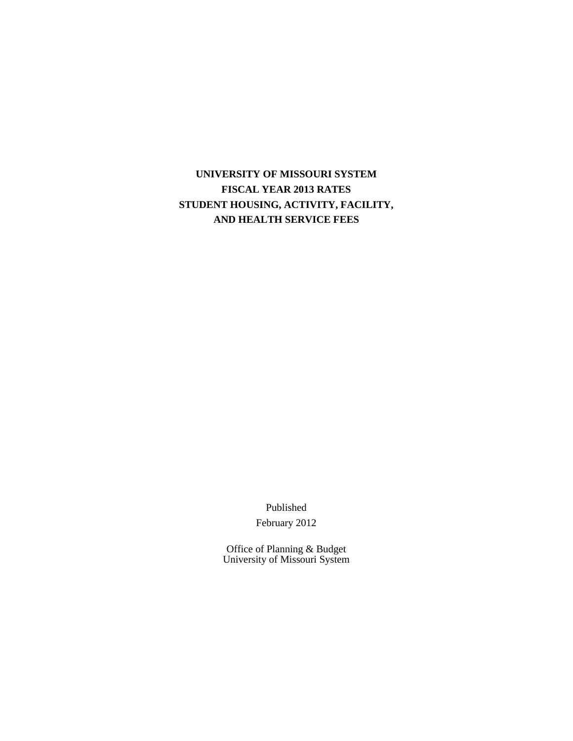# **UNIVERSITY OF MISSOURI SYSTEM FISCAL YEAR 2013 RATES STUDENT HOUSING, ACTIVITY, FACILITY, AND HEALTH SERVICE FEES**

Published

February 2012

Office of Planning & Budget University of Missouri System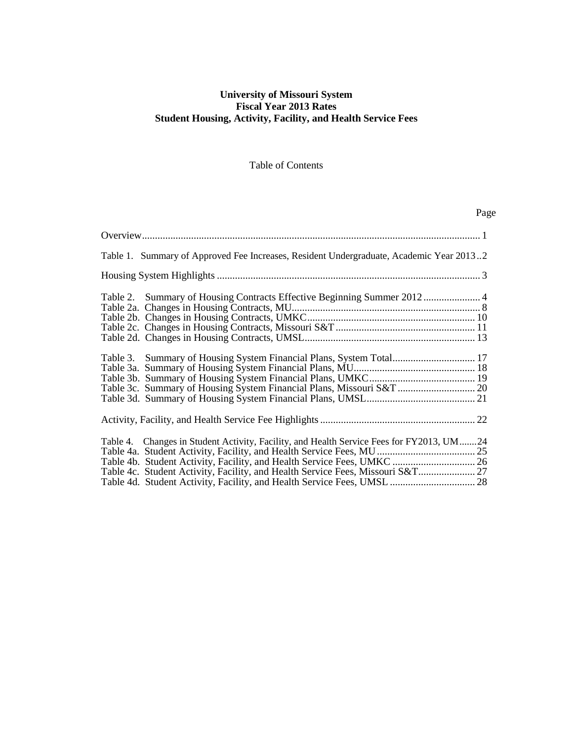### **University of Missouri System Fiscal Year 2013 Rates Student Housing, Activity, Facility, and Health Service Fees**

Table of Contents

|                                                                                                                                              | Page |
|----------------------------------------------------------------------------------------------------------------------------------------------|------|
|                                                                                                                                              |      |
| Table 1. Summary of Approved Fee Increases, Resident Undergraduate, Academic Year 20132                                                      |      |
|                                                                                                                                              |      |
| Table 2. Summary of Housing Contracts Effective Beginning Summer 2012  4                                                                     |      |
| Table 3. Summary of Housing System Financial Plans, System Total 17<br>Table 3c. Summary of Housing System Financial Plans, Missouri S&T  20 |      |
|                                                                                                                                              |      |
| Table 4. Changes in Student Activity, Facility, and Health Service Fees for FY2013, UM24                                                     |      |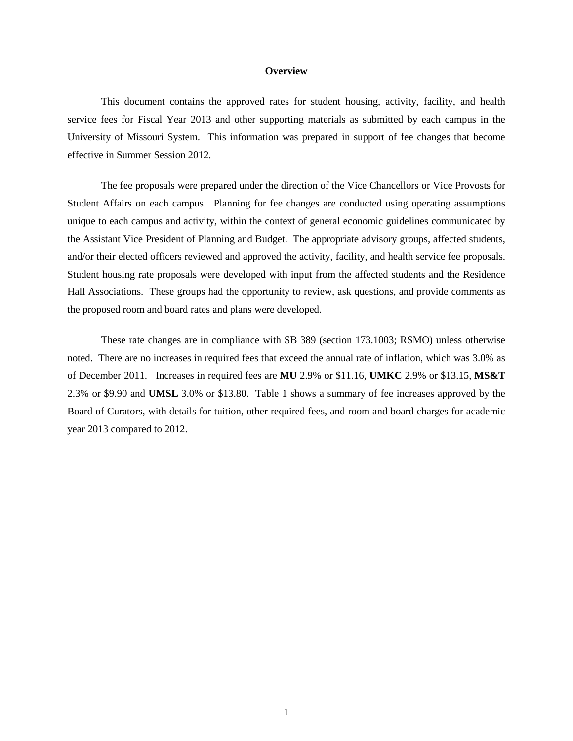#### **Overview**

This document contains the approved rates for student housing, activity, facility, and health service fees for Fiscal Year 2013 and other supporting materials as submitted by each campus in the University of Missouri System. This information was prepared in support of fee changes that become effective in Summer Session 2012.

The fee proposals were prepared under the direction of the Vice Chancellors or Vice Provosts for Student Affairs on each campus. Planning for fee changes are conducted using operating assumptions unique to each campus and activity, within the context of general economic guidelines communicated by the Assistant Vice President of Planning and Budget. The appropriate advisory groups, affected students, and/or their elected officers reviewed and approved the activity, facility, and health service fee proposals. Student housing rate proposals were developed with input from the affected students and the Residence Hall Associations. These groups had the opportunity to review, ask questions, and provide comments as the proposed room and board rates and plans were developed.

These rate changes are in compliance with SB 389 (section 173.1003; RSMO) unless otherwise noted. There are no increases in required fees that exceed the annual rate of inflation, which was 3.0% as of December 2011. Increases in required fees are **MU** 2.9% or \$11.16, **UMKC** 2.9% or \$13.15, **MS&T** 2.3% or \$9.90 and **UMSL** 3.0% or \$13.80. Table 1 shows a summary of fee increases approved by the Board of Curators, with details for tuition, other required fees, and room and board charges for academic year 2013 compared to 2012.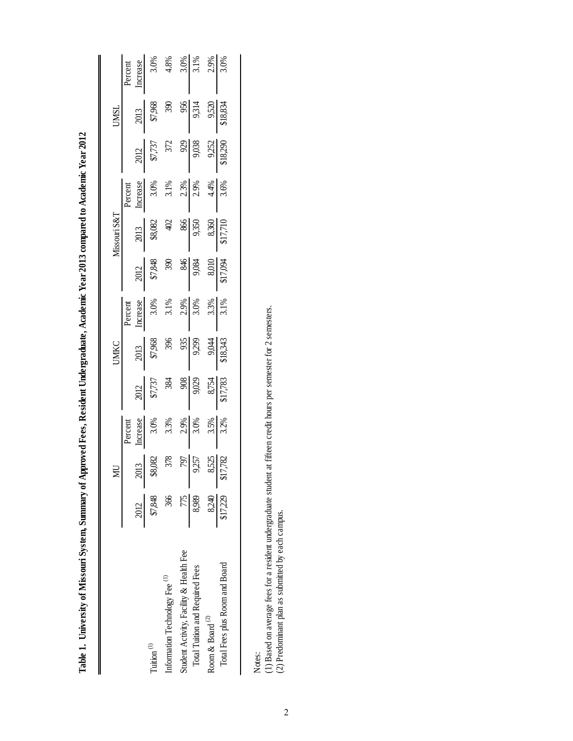| j                              |  |
|--------------------------------|--|
|                                |  |
|                                |  |
|                                |  |
|                                |  |
|                                |  |
|                                |  |
|                                |  |
|                                |  |
|                                |  |
| l                              |  |
|                                |  |
|                                |  |
|                                |  |
|                                |  |
|                                |  |
|                                |  |
|                                |  |
|                                |  |
|                                |  |
|                                |  |
|                                |  |
|                                |  |
|                                |  |
|                                |  |
|                                |  |
|                                |  |
|                                |  |
|                                |  |
|                                |  |
|                                |  |
|                                |  |
|                                |  |
|                                |  |
|                                |  |
|                                |  |
|                                |  |
| <br>                           |  |
|                                |  |
|                                |  |
|                                |  |
|                                |  |
| l                              |  |
|                                |  |
|                                |  |
|                                |  |
|                                |  |
|                                |  |
| ≀                              |  |
|                                |  |
|                                |  |
| ĺ                              |  |
| J                              |  |
| ׅ֘                             |  |
|                                |  |
| ì                              |  |
| i                              |  |
| i<br>I<br>i                    |  |
| i<br>ׇ֖֚֚֚֬֕                   |  |
|                                |  |
|                                |  |
| l<br>I                         |  |
| j                              |  |
| i                              |  |
|                                |  |
| I                              |  |
|                                |  |
| į                              |  |
| $\overline{\phantom{a}}$<br>֕֕ |  |

|                                           |                  |                                                                        |                                                             |                                                                                                                                                                                                                                                                                                                                                                                                  | UMKC                                                                                                              |                                                             |                                                                                                                                             |                                                                                                                                                                                                                                                                                                                                                      |                                                                             |                                                                                                                                                       | <b>UMSL</b>                                                                                                              |                                                                     |
|-------------------------------------------|------------------|------------------------------------------------------------------------|-------------------------------------------------------------|--------------------------------------------------------------------------------------------------------------------------------------------------------------------------------------------------------------------------------------------------------------------------------------------------------------------------------------------------------------------------------------------------|-------------------------------------------------------------------------------------------------------------------|-------------------------------------------------------------|---------------------------------------------------------------------------------------------------------------------------------------------|------------------------------------------------------------------------------------------------------------------------------------------------------------------------------------------------------------------------------------------------------------------------------------------------------------------------------------------------------|-----------------------------------------------------------------------------|-------------------------------------------------------------------------------------------------------------------------------------------------------|--------------------------------------------------------------------------------------------------------------------------|---------------------------------------------------------------------|
|                                           |                  |                                                                        |                                                             |                                                                                                                                                                                                                                                                                                                                                                                                  |                                                                                                                   |                                                             |                                                                                                                                             |                                                                                                                                                                                                                                                                                                                                                      |                                                                             |                                                                                                                                                       |                                                                                                                          |                                                                     |
|                                           | $\frac{2012}{ }$ |                                                                        |                                                             |                                                                                                                                                                                                                                                                                                                                                                                                  |                                                                                                                   |                                                             |                                                                                                                                             |                                                                                                                                                                                                                                                                                                                                                      |                                                                             |                                                                                                                                                       |                                                                                                                          |                                                                     |
| Tuition $(1)$                             | \$7,848          | $\begin{array}{r l} 2013 \\ 38,082 \\ 378 \\ 79 \\ \hline \end{array}$ | Percent<br>Increase<br>3.0%<br>3.3%<br>3.3%<br>3.5%<br>3.5% | $\begin{array}{r l}\n 2012 \\  \hline\n 57,737 \\  \hline\n 384 \\  \hline\n 9,029 \\  \hline\n 8,754 \\  \hline\n 8,754 \\  \hline\n 8,754 \\  \hline\n 8,754 \\  \hline\n 8,754 \\  \hline\n 8,754 \\  \hline\n 8,754 \\  \hline\n 8,754 \\  \hline\n 8,754 \\  \hline\n 8,754 \\  \hline\n 8,754 \\  \hline\n 8,754 \\  \hline\n 8,754 \\  \hline\n 8,754 \\  \hline\n 8,754 \\  \hline\n 8,$ | $\begin{array}{r l}\n & 2013 \\  & 396 \\  & 396 \\  & 955 \\  & 954 \\  & 9294 \\  & 141 \\  & 182\n\end{array}$ | Percent<br>Increase<br>3.0%<br>3.1%<br>3.1%<br>3.3%<br>3.3% | $\begin{array}{r l}\n & 2012 \\  & 57,848 \\  & 390 \\  & 900 \\  & 900 \\  & 8010 \\  & 900 \\  & 8010 \\  & 8010 \\  & 8010\n\end{array}$ | $\begin{array}{r l}\n 2013 \\  & 402 \\  & 402 \\  & 866 \\  & 9,350 \\  & 8,360 \\  & 8,360 \\  & 8,360 \\  & 8,360 \\  & 8,360 \\  & 8,360 \\  & 8,360 \\  & 8,360 \\  & 8,360 \\  & 8,360 \\  & 8,360 \\  & 8,360 \\  & 8,360 \\  & 8,360 \\  & 8,360 \\  & 8,360 \\  & 8,360 \\  & 8,360 \\  & 8,360 \\  & 8,360 \\  & 8,360 \\  & 8,360 \\  & $ | Percent<br>Increase<br>3.0%<br>3.1%<br>3.1%<br>2.3%<br>4.4%<br>4.4%<br>3.6% | $\begin{array}{r l}\n 2012 \\  \hline\n 57,737 \\  372 \\  9,038 \\  \hline\n 9,038 \\  \hline\n 9,038 \\  9,252 \\  \hline\n 8,18,290\n \end{array}$ | $\begin{array}{r l} 2013 \\ \hline 87,968 \\ 390 \\ \underline{956} \\ 9,514 \\ \underline{956} \\ 9,520 \\ \end{array}$ | Percent<br>Increase<br>3.0%<br>3.0%<br>4.8%<br>3.0%<br>3.1%<br>3.0% |
| Information Technology Fee <sup>(1)</sup> | 366              |                                                                        |                                                             |                                                                                                                                                                                                                                                                                                                                                                                                  |                                                                                                                   |                                                             |                                                                                                                                             |                                                                                                                                                                                                                                                                                                                                                      |                                                                             |                                                                                                                                                       |                                                                                                                          |                                                                     |
| Student Activity, Facility & Health Fee   | 775              |                                                                        |                                                             |                                                                                                                                                                                                                                                                                                                                                                                                  |                                                                                                                   |                                                             |                                                                                                                                             |                                                                                                                                                                                                                                                                                                                                                      |                                                                             |                                                                                                                                                       |                                                                                                                          |                                                                     |
| Total Tuition and Required Fees           | 8,989            |                                                                        |                                                             |                                                                                                                                                                                                                                                                                                                                                                                                  |                                                                                                                   |                                                             |                                                                                                                                             |                                                                                                                                                                                                                                                                                                                                                      |                                                                             |                                                                                                                                                       |                                                                                                                          |                                                                     |
| Room & Board $^{(2)}$                     |                  |                                                                        |                                                             |                                                                                                                                                                                                                                                                                                                                                                                                  |                                                                                                                   |                                                             |                                                                                                                                             |                                                                                                                                                                                                                                                                                                                                                      |                                                                             |                                                                                                                                                       |                                                                                                                          |                                                                     |
| Total Fees plus Room and Board            | 8.240            |                                                                        |                                                             |                                                                                                                                                                                                                                                                                                                                                                                                  |                                                                                                                   |                                                             |                                                                                                                                             |                                                                                                                                                                                                                                                                                                                                                      |                                                                             |                                                                                                                                                       |                                                                                                                          |                                                                     |
|                                           |                  |                                                                        |                                                             |                                                                                                                                                                                                                                                                                                                                                                                                  |                                                                                                                   |                                                             |                                                                                                                                             |                                                                                                                                                                                                                                                                                                                                                      |                                                                             |                                                                                                                                                       |                                                                                                                          |                                                                     |

Notes:<br>(1) Based on average fees for a resident undergraduate student at fifteen credit hours per semester for 2 semesters.<br>(2) Predominant plan as submitted by each campus. (1) Based on average fees for a resident undergraduate student at fifteen credit hours per semester for 2 semesters.

(2) Predominant plan as submitted by each campus.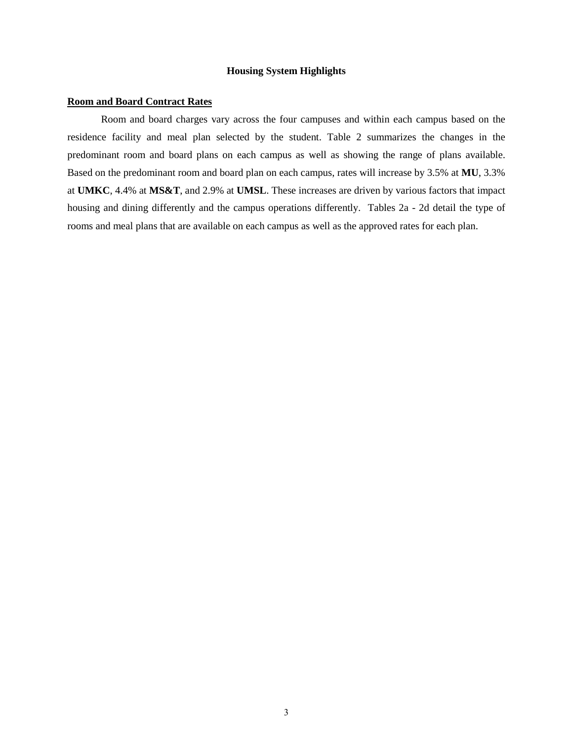### **Housing System Highlights**

#### **Room and Board Contract Rates**

Room and board charges vary across the four campuses and within each campus based on the residence facility and meal plan selected by the student. Table 2 summarizes the changes in the predominant room and board plans on each campus as well as showing the range of plans available. Based on the predominant room and board plan on each campus, rates will increase by 3.5% at **MU**, 3.3% at **UMKC**, 4.4% at **MS&T**, and 2.9% at **UMSL**. These increases are driven by various factors that impact housing and dining differently and the campus operations differently. Tables 2a - 2d detail the type of rooms and meal plans that are available on each campus as well as the approved rates for each plan.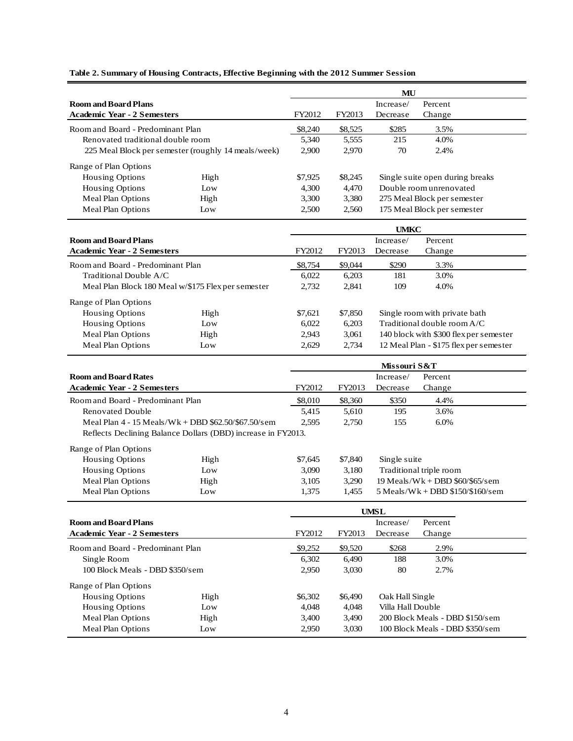|                                    |                                                              |         |         | MU              |                                        |
|------------------------------------|--------------------------------------------------------------|---------|---------|-----------------|----------------------------------------|
| <b>Room and Board Plans</b>        |                                                              |         |         | Increase/       | Percent                                |
| <b>Academic Year - 2 Semesters</b> |                                                              | FY2012  | FY2013  | Decrease        | Change                                 |
| Room and Board - Predominant Plan  |                                                              | \$8,240 | \$8,525 | \$285           | 3.5%                                   |
| Renovated traditional double room  |                                                              | 5,340   | 5,555   | 215             | 4.0%                                   |
|                                    | 225 Meal Block per semester (roughly 14 meals/week)          | 2,900   | 2,970   | 70              | 2.4%                                   |
| Range of Plan Options              |                                                              |         |         |                 |                                        |
| <b>Housing Options</b>             | High                                                         | \$7,925 | \$8,245 |                 | Single suite open during breaks        |
| <b>Housing Options</b>             | Low                                                          | 4,300   | 4,470   |                 | Double room unrenovated                |
| Meal Plan Options                  | High                                                         | 3,300   | 3,380   |                 | 275 Meal Block per semester            |
| <b>Meal Plan Options</b>           | Low                                                          | 2,500   | 2,560   |                 | 175 Meal Block per semester            |
|                                    |                                                              |         |         |                 |                                        |
|                                    |                                                              |         |         | <b>UMKC</b>     |                                        |
| <b>Room and Board Plans</b>        |                                                              |         |         | Increase/       | Percent                                |
| <b>Academic Year - 2 Semesters</b> |                                                              | FY2012  | FY2013  | Decrease        | Change                                 |
| Room and Board - Predominant Plan  |                                                              | \$8,754 | \$9,044 | \$290           | 3.3%                                   |
| Traditional Double A/C             |                                                              | 6,022   | 6,203   | 181             | 3.0%                                   |
|                                    | Meal Plan Block 180 Meal w/\$175 Flex per semester           | 2,732   | 2,841   | 109             | 4.0%                                   |
| Range of Plan Options              |                                                              |         |         |                 |                                        |
| Housing Options                    | High                                                         | \$7,621 | \$7,850 |                 | Single room with private bath          |
| Housing Options                    | Low                                                          | 6,022   | 6,203   |                 | Traditional double room A/C            |
| Meal Plan Options                  |                                                              | 2,943   | 3,061   |                 | 140 block with \$300 flex per semester |
| Meal Plan Options                  | High<br>Low                                                  | 2,629   | 2,734   |                 | 12 Meal Plan - \$175 flex per semester |
|                                    |                                                              |         |         |                 |                                        |
|                                    |                                                              |         |         | Missouri S&T    |                                        |
| <b>Room and Board Rates</b>        |                                                              |         |         | Increase/       | Percent                                |
| <b>Academic Year - 2 Semesters</b> |                                                              | FY2012  | FY2013  | Decrease        | Change                                 |
| Room and Board - Predominant Plan  |                                                              | \$8,010 | \$8,360 | \$350           | 4.4%                                   |
| <b>Renovated Double</b>            |                                                              | 5,415   | 5,610   | 195             | 3.6%                                   |
|                                    | Meal Plan 4 - 15 Meals/Wk + DBD \$62.50/\$67.50/sem          | 2,595   | 2,750   | 155             | 6.0%                                   |
|                                    | Reflects Declining Balance Dollars (DBD) increase in FY2013. |         |         |                 |                                        |
| Range of Plan Options              |                                                              |         |         |                 |                                        |
| <b>Housing Options</b>             | High                                                         | \$7,645 | \$7,840 | Single suite    |                                        |
| Housing Options                    | Low                                                          | 3,090   | 3,180   |                 | Traditional triple room                |
| Meal Plan Options                  | High                                                         | 3,105   | 3,290   |                 | $19$ Meals/Wk + DBD \$60/\$65/sem      |
| Meal Plan Options                  | Low                                                          | 1,375   | 1,455   |                 | $5$ Meals/Wk + DBD \$150/\$160/sem     |
|                                    |                                                              |         |         |                 |                                        |
|                                    |                                                              |         |         | <b>UMSL</b>     |                                        |
| <b>Room and Board Plans</b>        |                                                              |         |         | Increase/       | Percent                                |
| <b>Academic Year - 2 Semesters</b> |                                                              | FY2012  | FY2013  | Decrease        | Change                                 |
| Room and Board - Predominant Plan  |                                                              | \$9,252 | \$9,520 | \$268           | 2.9%                                   |
| Single Room                        |                                                              | 6,302   | 6,490   | 188             | 3.0%                                   |
| 100 Block Meals - DBD \$350/sem    |                                                              | 2,950   | 3,030   | 80              | 2.7%                                   |
|                                    |                                                              |         |         |                 |                                        |
| Range of Plan Options              |                                                              |         |         |                 |                                        |
| Housing Options                    | High                                                         | \$6,302 | \$6,490 | Oak Hall Single |                                        |

### **Table 2. Summary of Housing Contracts, Effective Beginning with the 2012 Summer Session**

Meal Plan Options High 3,400 3,490 200 Block Meals - DBD \$150/sem<br>Meal Plan Options Low 2,950 3,030 100 Block Meals - DBD \$350/sem

Low 2,950 3,030 100 Block Meals - DBD \$350/sem

Housing Options Low 4,048 4,048 Villa Hall Double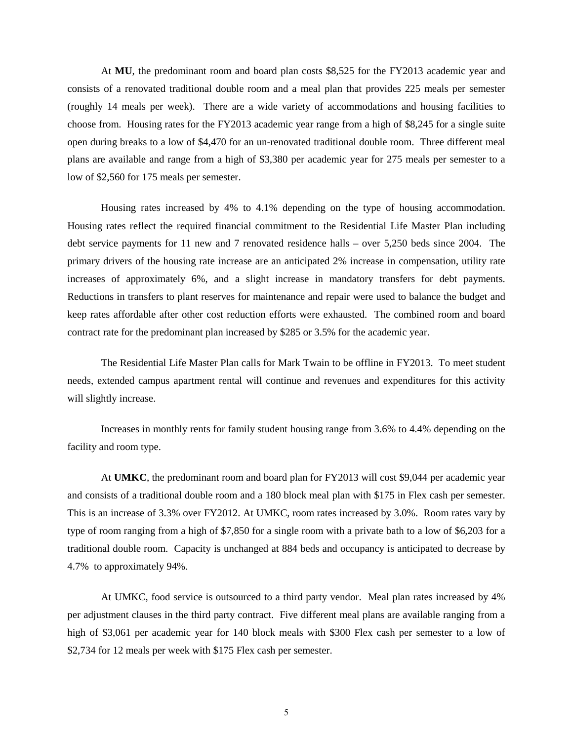At **MU**, the predominant room and board plan costs \$8,525 for the FY2013 academic year and consists of a renovated traditional double room and a meal plan that provides 225 meals per semester (roughly 14 meals per week). There are a wide variety of accommodations and housing facilities to choose from. Housing rates for the FY2013 academic year range from a high of \$8,245 for a single suite open during breaks to a low of \$4,470 for an un-renovated traditional double room. Three different meal plans are available and range from a high of \$3,380 per academic year for 275 meals per semester to a low of \$2,560 for 175 meals per semester.

Housing rates increased by 4% to 4.1% depending on the type of housing accommodation. Housing rates reflect the required financial commitment to the Residential Life Master Plan including debt service payments for 11 new and 7 renovated residence halls – over 5,250 beds since 2004. The primary drivers of the housing rate increase are an anticipated 2% increase in compensation, utility rate increases of approximately 6%, and a slight increase in mandatory transfers for debt payments. Reductions in transfers to plant reserves for maintenance and repair were used to balance the budget and keep rates affordable after other cost reduction efforts were exhausted. The combined room and board contract rate for the predominant plan increased by \$285 or 3.5% for the academic year.

The Residential Life Master Plan calls for Mark Twain to be offline in FY2013. To meet student needs, extended campus apartment rental will continue and revenues and expenditures for this activity will slightly increase.

Increases in monthly rents for family student housing range from 3.6% to 4.4% depending on the facility and room type.

At **UMKC**, the predominant room and board plan for FY2013 will cost \$9,044 per academic year and consists of a traditional double room and a 180 block meal plan with \$175 in Flex cash per semester. This is an increase of 3.3% over FY2012. At UMKC, room rates increased by 3.0%. Room rates vary by type of room ranging from a high of \$7,850 for a single room with a private bath to a low of \$6,203 for a traditional double room. Capacity is unchanged at 884 beds and occupancy is anticipated to decrease by 4.7% to approximately 94%.

At UMKC, food service is outsourced to a third party vendor. Meal plan rates increased by 4% per adjustment clauses in the third party contract. Five different meal plans are available ranging from a high of \$3,061 per academic year for 140 block meals with \$300 Flex cash per semester to a low of \$2,734 for 12 meals per week with \$175 Flex cash per semester.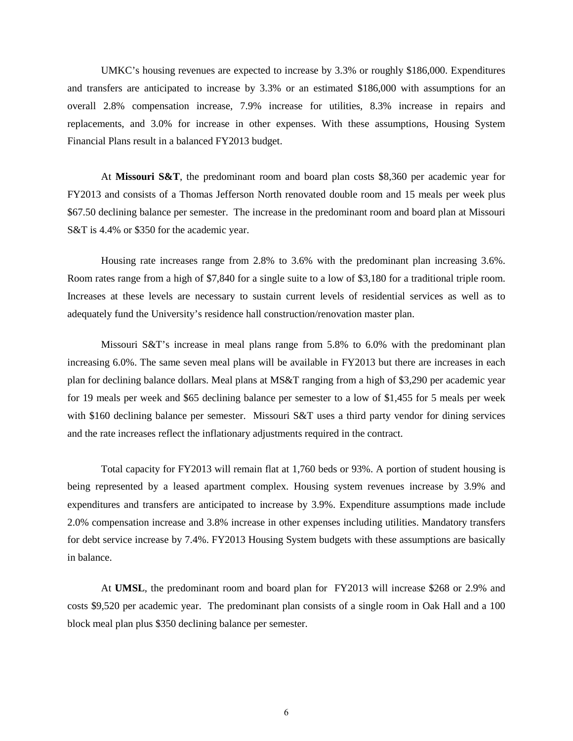UMKC's housing revenues are expected to increase by 3.3% or roughly \$186,000. Expenditures and transfers are anticipated to increase by 3.3% or an estimated \$186,000 with assumptions for an overall 2.8% compensation increase, 7.9% increase for utilities, 8.3% increase in repairs and replacements, and 3.0% for increase in other expenses. With these assumptions, Housing System Financial Plans result in a balanced FY2013 budget.

At **Missouri S&T**, the predominant room and board plan costs \$8,360 per academic year for FY2013 and consists of a Thomas Jefferson North renovated double room and 15 meals per week plus \$67.50 declining balance per semester. The increase in the predominant room and board plan at Missouri S&T is 4.4% or \$350 for the academic year.

Housing rate increases range from 2.8% to 3.6% with the predominant plan increasing 3.6%. Room rates range from a high of \$7,840 for a single suite to a low of \$3,180 for a traditional triple room. Increases at these levels are necessary to sustain current levels of residential services as well as to adequately fund the University's residence hall construction/renovation master plan.

Missouri S&T's increase in meal plans range from 5.8% to 6.0% with the predominant plan increasing 6.0%. The same seven meal plans will be available in FY2013 but there are increases in each plan for declining balance dollars. Meal plans at MS&T ranging from a high of \$3,290 per academic year for 19 meals per week and \$65 declining balance per semester to a low of \$1,455 for 5 meals per week with \$160 declining balance per semester. Missouri S&T uses a third party vendor for dining services and the rate increases reflect the inflationary adjustments required in the contract.

Total capacity for FY2013 will remain flat at 1,760 beds or 93%. A portion of student housing is being represented by a leased apartment complex. Housing system revenues increase by 3.9% and expenditures and transfers are anticipated to increase by 3.9%. Expenditure assumptions made include 2.0% compensation increase and 3.8% increase in other expenses including utilities. Mandatory transfers for debt service increase by 7.4%. FY2013 Housing System budgets with these assumptions are basically in balance.

At **UMSL**, the predominant room and board plan for FY2013 will increase \$268 or 2.9% and costs \$9,520 per academic year. The predominant plan consists of a single room in Oak Hall and a 100 block meal plan plus \$350 declining balance per semester.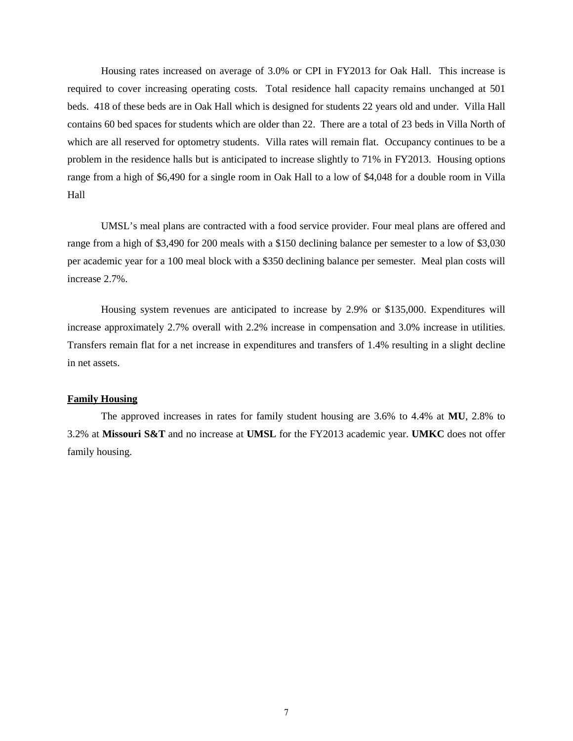Housing rates increased on average of 3.0% or CPI in FY2013 for Oak Hall. This increase is required to cover increasing operating costs. Total residence hall capacity remains unchanged at 501 beds. 418 of these beds are in Oak Hall which is designed for students 22 years old and under. Villa Hall contains 60 bed spaces for students which are older than 22. There are a total of 23 beds in Villa North of which are all reserved for optometry students. Villa rates will remain flat. Occupancy continues to be a problem in the residence halls but is anticipated to increase slightly to 71% in FY2013. Housing options range from a high of \$6,490 for a single room in Oak Hall to a low of \$4,048 for a double room in Villa Hall

UMSL's meal plans are contracted with a food service provider. Four meal plans are offered and range from a high of \$3,490 for 200 meals with a \$150 declining balance per semester to a low of \$3,030 per academic year for a 100 meal block with a \$350 declining balance per semester. Meal plan costs will increase 2.7%.

Housing system revenues are anticipated to increase by 2.9% or \$135,000. Expenditures will increase approximately 2.7% overall with 2.2% increase in compensation and 3.0% increase in utilities. Transfers remain flat for a net increase in expenditures and transfers of 1.4% resulting in a slight decline in net assets.

### **Family Housing**

The approved increases in rates for family student housing are 3.6% to 4.4% at **MU**, 2.8% to 3.2% at **Missouri S&T** and no increase at **UMSL** for the FY2013 academic year. **UMKC** does not offer family housing.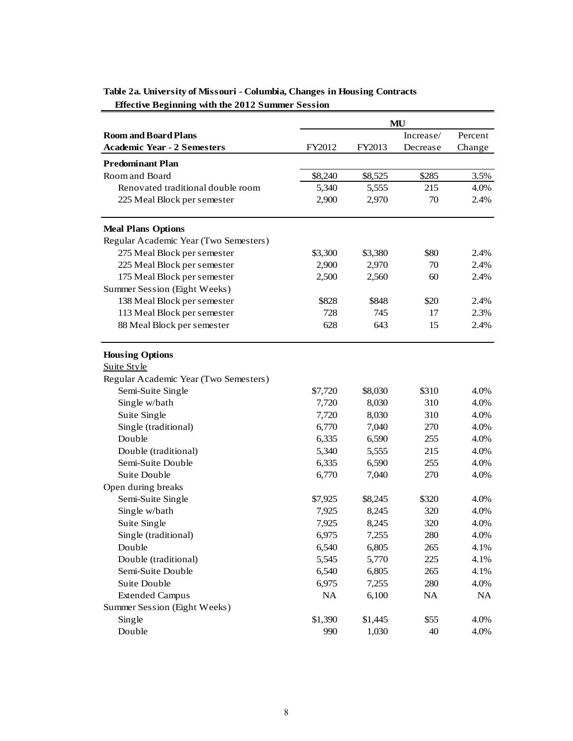|                                       |         |         | MU        |         |
|---------------------------------------|---------|---------|-----------|---------|
| <b>Room and Board Plans</b>           |         |         | Increase/ | Percent |
| <b>Academic Year - 2 Semesters</b>    | FY2012  | FY2013  | Decrease  | Change  |
| <b>Predominant Plan</b>               |         |         |           |         |
| Room and Board                        | \$8,240 | \$8,525 | \$285     | 3.5%    |
| Renovated traditional double room     | 5,340   | 5,555   | 215       | 4.0%    |
| 225 Meal Block per semester           | 2,900   | 2,970   | 70        | 2.4%    |
|                                       |         |         |           |         |
| <b>Meal Plans Options</b>             |         |         |           |         |
| Regular Academic Year (Two Semesters) |         |         |           |         |
| 275 Meal Block per semester           | \$3,300 | \$3,380 | \$80      | 2.4%    |
| 225 Meal Block per semester           | 2,900   | 2,970   | 70        | 2.4%    |
| 175 Meal Block per semester           | 2,500   | 2,560   | 60        | 2.4%    |
| Summer Session (Eight Weeks)          |         |         |           |         |
| 138 Meal Block per semester           | \$828   | \$848   | \$20      | 2.4%    |
| 113 Meal Block per semester           | 728     | 745     | 17        | 2.3%    |
| 88 Meal Block per semester            | 628     | 643     | 15        | 2.4%    |
| <b>Housing Options</b>                |         |         |           |         |
| <b>Suite Style</b>                    |         |         |           |         |
| Regular Academic Year (Two Semesters) |         |         |           |         |
| Semi-Suite Single                     | \$7,720 | \$8,030 | \$310     | 4.0%    |
| Single w/bath                         | 7,720   | 8,030   | 310       | 4.0%    |
| Suite Single                          | 7,720   | 8,030   | 310       | 4.0%    |
| Single (traditional)                  | 6,770   | 7,040   | 270       | 4.0%    |
| Double                                | 6,335   | 6,590   | 255       | 4.0%    |
| Double (traditional)                  | 5,340   | 5,555   | 215       | 4.0%    |
| Semi-Suite Double                     | 6,335   | 6,590   | 255       | 4.0%    |
| Suite Double                          | 6,770   | 7,040   | 270       | 4.0%    |
| Open during breaks                    |         |         |           |         |
| Semi-Suite Single                     | \$7,925 | \$8,245 | \$320     | 4.0%    |
| Single w/bath                         | 7,925   | 8,245   | 320       | 4.0%    |
| Suite Single                          | 7,925   | 8,245   | 320       | 4.0%    |
| Single (traditional)                  | 6,975   | 7,255   | 280       | 4.0%    |
| Double                                | 6,540   | 6,805   | 265       | 4.1%    |
| Double (traditional)                  | 5,545   | 5,770   | 225       | 4.1%    |
| Semi-Suite Double                     | 6,540   | 6,805   | 265       | 4.1%    |
| <b>Suite Double</b>                   | 6,975   | 7,255   | 280       | 4.0%    |
| <b>Extended Campus</b>                | NA      | 6,100   | NA        | NA      |
| Summer Session (Eight Weeks)          |         |         |           |         |
| Single                                | \$1,390 | \$1,445 | \$55      | 4.0%    |
| Double                                | 990     | 1,030   | 40        | 4.0%    |

## **Table 2a. University of Missouri - Columbia, Changes in Housing Contracts Effective Beginning with the 2012 Summer Session**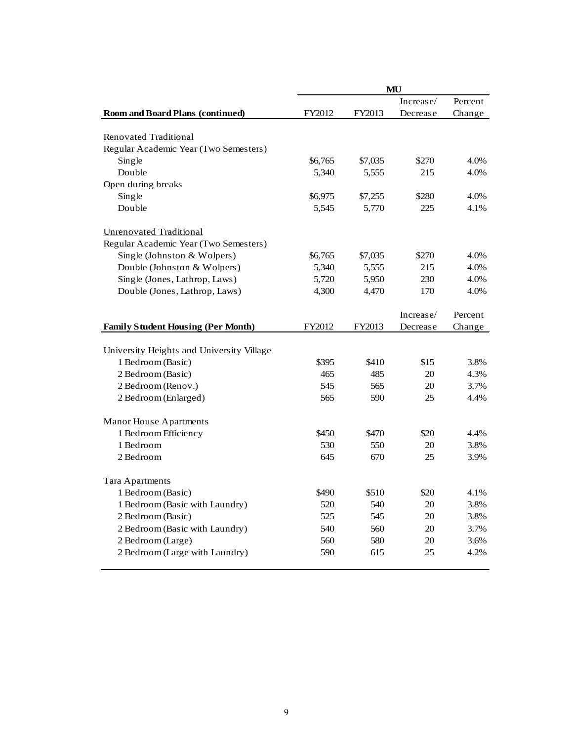|                                           |         |         | MU        |         |
|-------------------------------------------|---------|---------|-----------|---------|
|                                           |         |         | Increase/ | Percent |
| <b>Room and Board Plans (continued)</b>   | FY2012  | FY2013  | Decrease  | Change  |
|                                           |         |         |           |         |
| Renovated Traditional                     |         |         |           |         |
| Regular Academic Year (Two Semesters)     |         |         |           |         |
| Single                                    | \$6,765 | \$7,035 | \$270     | 4.0%    |
| Double                                    | 5,340   | 5,555   | 215       | 4.0%    |
| Open during breaks                        |         |         |           |         |
| Single                                    | \$6,975 | \$7,255 | \$280     | 4.0%    |
| Double                                    | 5,545   | 5,770   | 225       | 4.1%    |
| <b>Unrenovated Traditional</b>            |         |         |           |         |
| Regular Academic Year (Two Semesters)     |         |         |           |         |
| Single (Johnston & Wolpers)               | \$6,765 | \$7,035 | \$270     | 4.0%    |
| Double (Johnston & Wolpers)               | 5,340   | 5,555   | 215       | 4.0%    |
| Single (Jones, Lathrop, Laws)             | 5,720   | 5,950   | 230       | 4.0%    |
| Double (Jones, Lathrop, Laws)             | 4,300   | 4,470   | 170       | 4.0%    |
|                                           |         |         | Increase/ | Percent |
| <b>Family Student Housing (Per Month)</b> | FY2012  | FY2013  | Decrease  | Change  |
|                                           |         |         |           |         |
| University Heights and University Village |         |         |           |         |
| 1 Bedroom (Basic)                         | \$395   | \$410   | \$15      | 3.8%    |
| 2 Bedroom (Basic)                         | 465     | 485     | 20        | 4.3%    |
| 2 Bedroom (Renov.)                        | 545     | 565     | 20        | 3.7%    |
| 2 Bedroom (Enlarged)                      | 565     | 590     | 25        | 4.4%    |
|                                           |         |         |           |         |
| <b>Manor House Apartments</b>             |         |         |           |         |
| 1 Bedroom Efficiency                      | \$450   | \$470   | \$20      | 4.4%    |
| 1 Bedroom                                 | 530     | 550     | 20        | 3.8%    |
| 2 Bedroom                                 | 645     | 670     | 25        | 3.9%    |
| <b>Tara Apartments</b>                    |         |         |           |         |
| 1 Bedroom (Basic)                         | \$490   | \$510   | \$20      | 4.1%    |
| 1 Bedroom (Basic with Laundry)            | 520     | 540     | 20        | 3.8%    |
| 2 Bedroom (Basic)                         | 525     | 545     | 20        | 3.8%    |
| 2 Bedroom (Basic with Laundry)            | 540     | 560     | 20        | 3.7%    |
| 2 Bedroom (Large)                         | 560     | 580     | 20        | 3.6%    |
| 2 Bedroom (Large with Laundry)            | 590     | 615     | 25        | 4.2%    |
|                                           |         |         |           |         |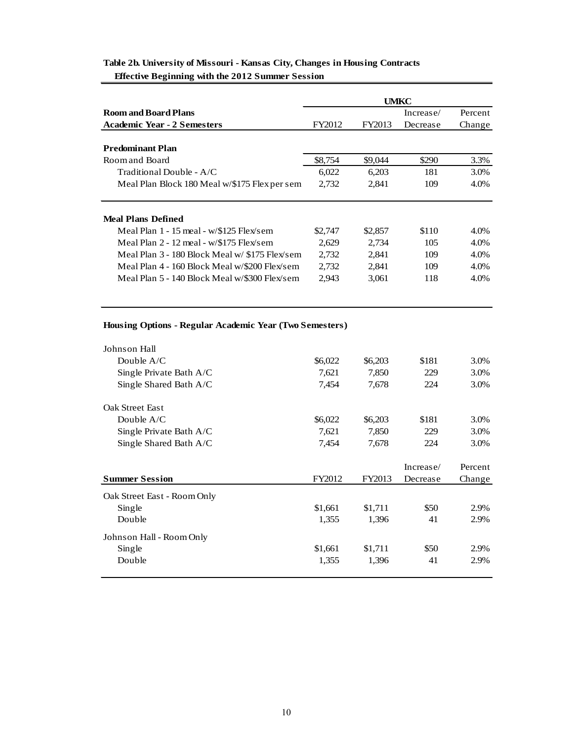|                                                                       | UMKC    |         |           |         |  |
|-----------------------------------------------------------------------|---------|---------|-----------|---------|--|
| <b>Room and Board Plans</b>                                           |         |         | Increase/ | Percent |  |
| <b>Academic Year - 2 Semesters</b>                                    | FY2012  | FY2013  | Decrease  | Change  |  |
| <b>Predominant Plan</b>                                               |         |         |           |         |  |
| Room and Board                                                        | \$8,754 | \$9,044 | \$290     | 3.3%    |  |
| $Traditional Double - A/C$                                            | 6.022   | 6.203   | 181       | 3.0%    |  |
| Meal Plan Block 180 Meal w/\$175 Flex per sem                         | 2,732   | 2,841   | 109       | 4.0%    |  |
| <b>Meal Plans Defined</b><br>Meal Plan 1 - 15 meal - w/\$125 Flex/sem | \$2,747 | \$2,857 | \$110     | 4.0%    |  |
| Meal Plan $2 - 12$ meal - w/\$175 Flex/sem                            | 2.629   | 2.734   | 105       | 4.0%    |  |
| Meal Plan 3 - 180 Block Meal w/ \$175 Flex/sem                        | 2,732   | 2,841   | 109       | 4.0%    |  |
| Meal Plan 4 - 160 Block Meal w/\$200 Flex/sem                         | 2.732   | 2.841   | 109       | 4.0%    |  |
| Meal Plan 5 - 140 Block Meal w/\$300 Flex/sem                         | 2,943   | 3,061   | 118       | 4.0%    |  |

### **Table 2b. University of Missouri - Kansas City, Changes in Housing Contracts Effective Beginning with the 2012 Summer Session**

### **Housing Options - Regular Academic Year (Two Semesters)**

| Johnson Hall                |         |         |           |         |
|-----------------------------|---------|---------|-----------|---------|
| Double $A/C$                | \$6,022 | \$6,203 | \$181     | 3.0%    |
| Single Private Bath A/C     | 7,621   | 7,850   | 229       | 3.0%    |
| Single Shared Bath A/C      | 7,454   | 7,678   | 224       | 3.0%    |
| Oak Street East             |         |         |           |         |
| Double $A/C$                | \$6,022 | \$6,203 | \$181     | 3.0%    |
| Single Private Bath A/C     | 7,621   | 7,850   | 229       | 3.0%    |
| Single Shared Bath A/C      | 7,454   | 7,678   | 224       | 3.0%    |
|                             |         |         |           |         |
|                             |         |         | Increase/ | Percent |
| <b>Summer Session</b>       | FY2012  | FY2013  | Decrease  | Change  |
| Oak Street East - Room Only |         |         |           |         |
| Single                      | \$1,661 | \$1,711 | \$50      | 2.9%    |
| Double                      | 1,355   | 1,396   | 41        | 2.9%    |
| Johnson Hall - Room Only    |         |         |           |         |
| Single                      | \$1,661 | \$1,711 | \$50      | 2.9%    |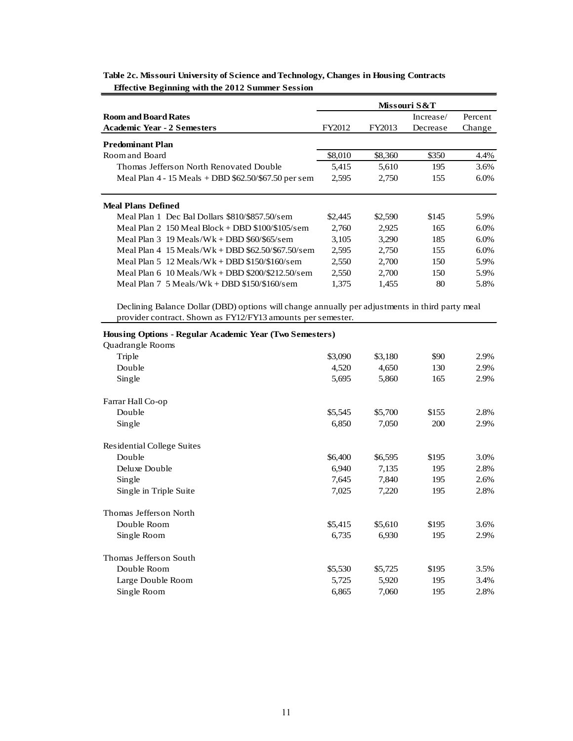|                                                                                                                            |                  |                  | Missouri S&T |              |
|----------------------------------------------------------------------------------------------------------------------------|------------------|------------------|--------------|--------------|
| <b>Room and Board Rates</b>                                                                                                |                  |                  | Increase/    | Percent      |
| <b>Academic Year - 2 Semesters</b>                                                                                         | FY2012           | FY2013           | Decrease     | Change       |
| <b>Predominant Plan</b>                                                                                                    |                  |                  |              |              |
| Room and Board                                                                                                             | \$8,010          | \$8,360          | \$350        | 4.4%         |
| Thomas Jefferson North Renovated Double                                                                                    | 5.415            | 5,610            | 195          | 3.6%         |
| Meal Plan $4 - 15$ Meals + DBD $62.50$ / $67.50$ per sem                                                                   | 2,595            | 2,750            | 155          | 6.0%         |
| Meal Plans Defined<br>Meal Plan 1 Dec Bal Dollars \$810/\$857.50/sem<br>Meal Plan 2 $150$ Meal Block + DBD \$100/\$105/sem | \$2,445<br>2.760 | \$2,590<br>2.925 | \$145<br>165 | 5.9%<br>6.0% |
| Meal Plan $3 \frac{19 \text{ Meals}}{Wk + DBD}$ \$60/\$65/sem                                                              | 3,105            | 3,290            | 185          | 6.0%         |
| Meal Plan $4$ 15 Meals/Wk + DBD \$62.50/\$67.50/sem                                                                        | 2.595            | 2,750            | 155          | 6.0%         |
| Meal Plan 5 $12$ Meals/Wk + DBD \$150/\$160/sem                                                                            | 2.550            | 2,700            | 150          | 5.9%         |
| Meal Plan $6 \cdot 10$ Meals/Wk + DBD \$200/\$212.50/sem                                                                   | 2,550            | 2,700            | 150          | 5.9%         |
| Meal Plan $7\,5$ Meals/Wk + DBD \$150/\$160/sem                                                                            | 1.375            | 1,455            | 80           | 5.8%         |

### **Table 2c. Missouri University of Science and Technology, Changes in Housing Contracts Effective Beginning with the 2012 Summer Session**

Declining Balance Dollar (DBD) options will change annually per adjustments in third party meal provider contract. Shown as FY12/FY13 amounts per semester.

| Housing Options - Regular Academic Year (Two Semesters) |         |         |       |      |
|---------------------------------------------------------|---------|---------|-------|------|
| Quadrangle Rooms                                        |         |         |       |      |
| Triple                                                  | \$3,090 | \$3,180 | \$90  | 2.9% |
| Double                                                  | 4,520   | 4,650   | 130   | 2.9% |
| Single                                                  | 5,695   | 5,860   | 165   | 2.9% |
| Farrar Hall Co-op                                       |         |         |       |      |
| Double                                                  | \$5,545 | \$5,700 | \$155 | 2.8% |
| Single                                                  | 6,850   | 7,050   | 200   | 2.9% |
| Residential College Suites                              |         |         |       |      |
| Double                                                  | \$6,400 | \$6,595 | \$195 | 3.0% |
| Deluxe Double                                           | 6,940   | 7,135   | 195   | 2.8% |
| Single                                                  | 7,645   | 7,840   | 195   | 2.6% |
| Single in Triple Suite                                  | 7,025   | 7,220   | 195   | 2.8% |
| Thomas Jefferson North                                  |         |         |       |      |
| Double Room                                             | \$5,415 | \$5,610 | \$195 | 3.6% |
| Single Room                                             | 6,735   | 6,930   | 195   | 2.9% |
| Thomas Jefferson South                                  |         |         |       |      |
| Double Room                                             | \$5,530 | \$5,725 | \$195 | 3.5% |
| Large Double Room                                       | 5,725   | 5,920   | 195   | 3.4% |
| Single Room                                             | 6,865   | 7,060   | 195   | 2.8% |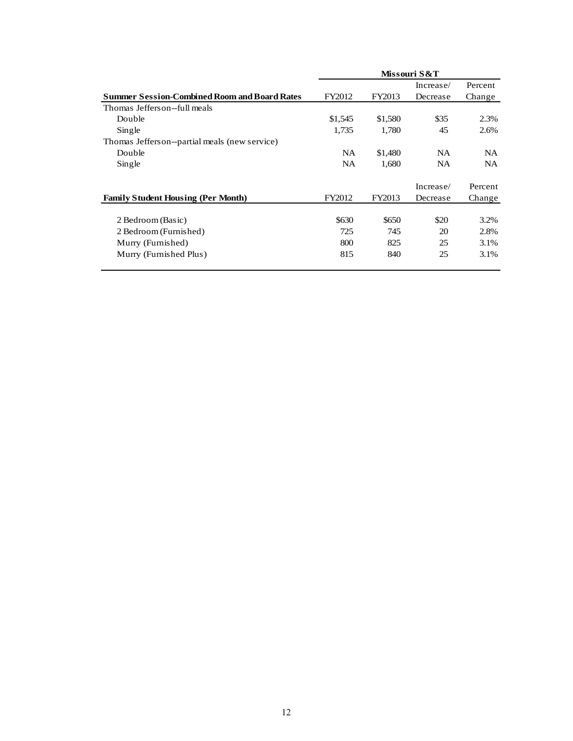|                                                     |           |         | Missouri S&T |         |
|-----------------------------------------------------|-----------|---------|--------------|---------|
|                                                     |           |         | Increase/    | Percent |
| <b>Summer Session-Combined Room and Board Rates</b> | FY2012    | FY2013  | Decrease     | Change  |
| Thomas Jefferson-full meals                         |           |         |              |         |
| Double                                              | \$1,545   | \$1,580 | \$35         | 2.3%    |
| Single                                              | 1,735     | 1,780   | 45           | 2.6%    |
| Thomas Jefferson--partial meals (new service)       |           |         |              |         |
| Double                                              | NA.       | \$1,480 | NA.          | NA.     |
| Single                                              | <b>NA</b> | 1,680   | NA.          | NA.     |
|                                                     |           |         | Increase/    | Percent |
| <b>Family Student Housing (Per Month)</b>           | FY2012    | FY2013  | Decrease     | Change  |
| 2 Bedroom (Basic)                                   | \$630     | \$650   | \$20         | 3.2%    |
| 2 Bedroom (Furnished)                               | 725       | 745     | 20           | 2.8%    |
| Murry (Furnished)                                   | 800       | 825     | 25           | 3.1%    |
| Murry (Furnished Plus)                              | 815       | 840     | 25           | 3.1%    |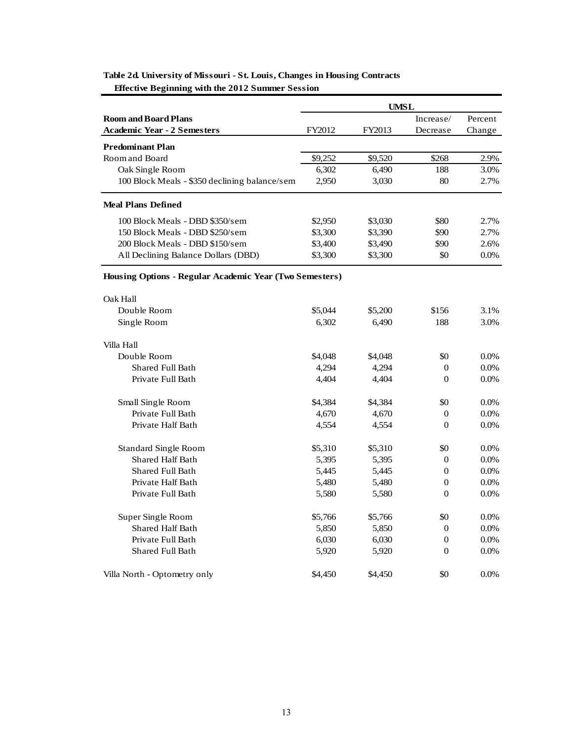|                                                         |         | UMSL    |                |         |
|---------------------------------------------------------|---------|---------|----------------|---------|
| <b>Room and Board Plans</b>                             |         |         | Increase/      | Percent |
| <b>Academic Year - 2 Semesters</b>                      | FY2012  | FY2013  | Decrease       | Change  |
| <b>Predominant Plan</b>                                 |         |         |                |         |
| Room and Board                                          | \$9,252 | \$9,520 | \$268          | 2.9%    |
| Oak Single Room                                         | 6,302   | 6,490   | 188            | 3.0%    |
| 100 Block Meals - \$350 declining balance/sem           | 2,950   | 3,030   | 80             | 2.7%    |
| <b>Meal Plans Defined</b>                               |         |         |                |         |
| 100 Block Meals - DBD \$350/sem                         | \$2,950 | \$3,030 | \$80           | 2.7%    |
| 150 Block Meals - DBD \$250/sem                         | \$3,300 | \$3,390 | \$90           | 2.7%    |
| 200 Block Meals - DBD \$150/sem                         | \$3,400 | \$3,490 | \$90           | 2.6%    |
| All Declining Balance Dollars (DBD)                     | \$3,300 | \$3,300 | \$0            | 0.0%    |
| Housing Options - Regular Academic Year (Two Semesters) |         |         |                |         |
| Oak Hall                                                |         |         |                |         |
| Double Room                                             | \$5,044 | \$5,200 | \$156          | 3.1%    |
| Single Room                                             | 6,302   | 6,490   | 188            | 3.0%    |
| Villa Hall                                              |         |         |                |         |
| Double Room                                             | \$4,048 | \$4,048 | \$0            | $0.0\%$ |
| <b>Shared Full Bath</b>                                 | 4,294   | 4,294   | $\mathbf{0}$   | $0.0\%$ |
| Private Full Bath                                       | 4,404   | 4,404   | $\theta$       | 0.0%    |
| Small Single Room                                       | \$4,384 | \$4,384 | \$0            | $0.0\%$ |
| Private Full Bath                                       | 4,670   | 4,670   | $\mathbf{0}$   | 0.0%    |
| Private Half Bath                                       | 4,554   | 4,554   | $\theta$       | 0.0%    |
|                                                         |         |         |                |         |
| <b>Standard Single Room</b>                             | \$5,310 | \$5,310 | \$0            | 0.0%    |
| <b>Shared Half Bath</b>                                 | 5,395   | 5,395   | $\mathbf{0}$   | 0.0%    |
| Shared Full Bath                                        | 5,445   | 5,445   | 0              | 0.0%    |
| Private Half Bath                                       | 5,480   | 5,480   | $\theta$       | 0.0%    |
| Private Full Bath                                       | 5,580   | 5,580   | $\overline{0}$ | 0.0%    |
| Super Single Room                                       | \$5,766 | \$5,766 | \$0            | $0.0\%$ |
| <b>Shared Half Bath</b>                                 | 5,850   | 5,850   | $\theta$       | $0.0\%$ |
| Private Full Bath                                       | 6,030   | 6,030   | $\mathbf{0}$   | 0.0%    |
| Shared Full Bath                                        | 5,920   | 5,920   | $\theta$       | 0.0%    |
| Villa North - Optometry only                            | \$4,450 | \$4,450 | \$0            | 0.0%    |

### **Table 2d. University of Missouri - St. Louis, Changes in Housing Contracts Effective Beginning with the 2012 Summer Session**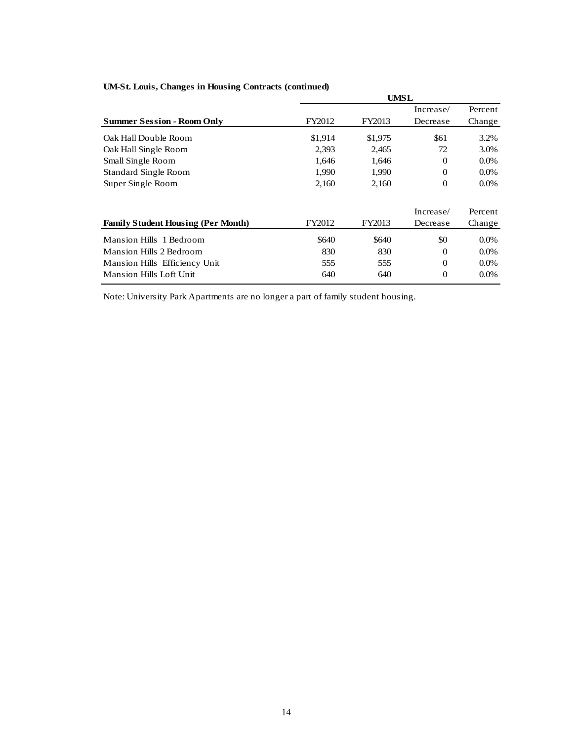| $\ldots$ $\ldots$ $\ldots$ $\ldots$ $\ldots$ $\ldots$ $\ldots$ $\ldots$ $\ldots$ $\ldots$ $\ldots$ $\ldots$ $\ldots$ $\ldots$ |         | <b>UMSL</b> |              |         |
|-------------------------------------------------------------------------------------------------------------------------------|---------|-------------|--------------|---------|
|                                                                                                                               |         |             | Increase/    | Percent |
| <b>Summer Session - Room Only</b>                                                                                             | FY2012  | FY2013      | Decrease     | Change  |
| Oak Hall Double Room                                                                                                          | \$1,914 | \$1,975     | \$61         | 3.2%    |
| Oak Hall Single Room                                                                                                          | 2,393   | 2,465       | 72           | 3.0%    |
| Small Single Room                                                                                                             | 1,646   | 1,646       | 0            | $0.0\%$ |
| <b>Standard Single Room</b>                                                                                                   | 1,990   | 1,990       | $\mathbf{0}$ | 0.0%    |
| Super Single Room                                                                                                             | 2,160   | 2,160       | $\theta$     | $0.0\%$ |
|                                                                                                                               |         |             | Increase/    | Percent |
| <b>Family Student Housing (Per Month)</b>                                                                                     | FY2012  | FY2013      | Decrease     | Change  |
| Mansion Hills 1 Bedroom                                                                                                       | \$640   | \$640       | \$0          | $0.0\%$ |
| <b>Mansion Hills 2 Bedroom</b>                                                                                                | 830     | 830         | $\theta$     | $0.0\%$ |
| Mansion Hills Efficiency Unit                                                                                                 | 555     | 555         | $\Omega$     | $0.0\%$ |
| <b>Mansion Hills Loft Unit</b>                                                                                                | 640     | 640         | $\theta$     | $0.0\%$ |

### **UM-St. Louis, Changes in Housing Contracts (continued)**

Note: University Park Apartments are no longer a part of family student housing.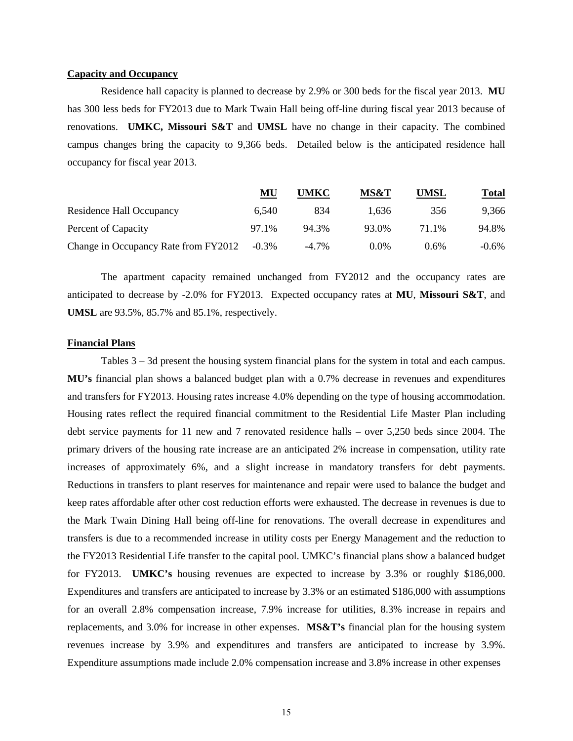### **Capacity and Occupancy**

Residence hall capacity is planned to decrease by 2.9% or 300 beds for the fiscal year 2013. **MU** has 300 less beds for FY2013 due to Mark Twain Hall being off-line during fiscal year 2013 because of renovations. **UMKC, Missouri S&T** and **UMSL** have no change in their capacity. The combined campus changes bring the capacity to 9,366 beds. Detailed below is the anticipated residence hall occupancy for fiscal year 2013.

|                                      | MU       | UMKC     | MS&T    | <b>UMSL</b> | <b>Total</b> |
|--------------------------------------|----------|----------|---------|-------------|--------------|
| Residence Hall Occupancy             | 6.540    | 834      | 1.636   | 356         | 9,366        |
| Percent of Capacity                  | 97.1%    | 94.3%    | 93.0%   | 71.1%       | 94.8%        |
| Change in Occupancy Rate from FY2012 | $-0.3\%$ | $-4.7\%$ | $0.0\%$ | $0.6\%$     | $-0.6\%$     |

 The apartment capacity remained unchanged from FY2012 and the occupancy rates are anticipated to decrease by -2.0% for FY2013. Expected occupancy rates at **MU**, **Missouri S&T**, and **UMSL** are 93.5%, 85.7% and 85.1%, respectively.

#### **Financial Plans**

Tables 3 – 3d present the housing system financial plans for the system in total and each campus. **MU's** financial plan shows a balanced budget plan with a 0.7% decrease in revenues and expenditures and transfers for FY2013. Housing rates increase 4.0% depending on the type of housing accommodation. Housing rates reflect the required financial commitment to the Residential Life Master Plan including debt service payments for 11 new and 7 renovated residence halls – over 5,250 beds since 2004. The primary drivers of the housing rate increase are an anticipated 2% increase in compensation, utility rate increases of approximately 6%, and a slight increase in mandatory transfers for debt payments. Reductions in transfers to plant reserves for maintenance and repair were used to balance the budget and keep rates affordable after other cost reduction efforts were exhausted. The decrease in revenues is due to the Mark Twain Dining Hall being off-line for renovations. The overall decrease in expenditures and transfers is due to a recommended increase in utility costs per Energy Management and the reduction to the FY2013 Residential Life transfer to the capital pool. UMKC's financial plans show a balanced budget for FY2013. **UMKC's** housing revenues are expected to increase by 3.3% or roughly \$186,000. Expenditures and transfers are anticipated to increase by 3.3% or an estimated \$186,000 with assumptions for an overall 2.8% compensation increase, 7.9% increase for utilities, 8.3% increase in repairs and replacements, and 3.0% for increase in other expenses. **MS&T's** financial plan for the housing system revenues increase by 3.9% and expenditures and transfers are anticipated to increase by 3.9%. Expenditure assumptions made include 2.0% compensation increase and 3.8% increase in other expenses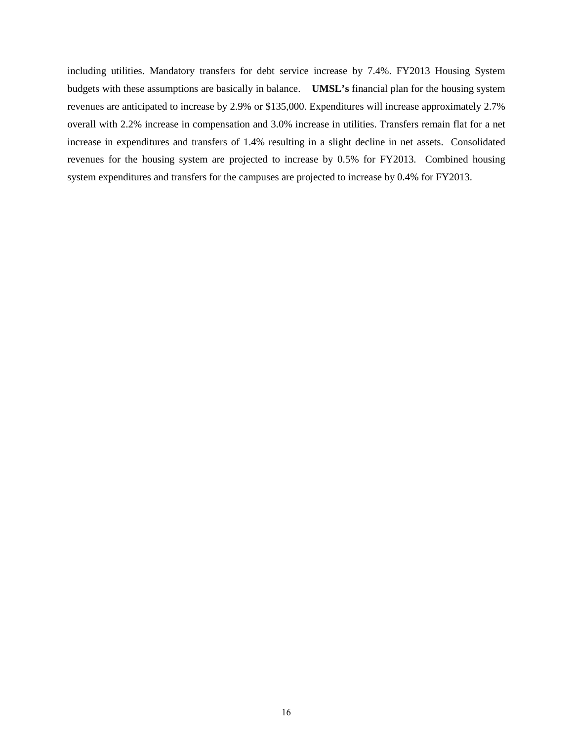including utilities. Mandatory transfers for debt service increase by 7.4%. FY2013 Housing System budgets with these assumptions are basically in balance. **UMSL's** financial plan for the housing system revenues are anticipated to increase by 2.9% or \$135,000. Expenditures will increase approximately 2.7% overall with 2.2% increase in compensation and 3.0% increase in utilities. Transfers remain flat for a net increase in expenditures and transfers of 1.4% resulting in a slight decline in net assets. Consolidated revenues for the housing system are projected to increase by 0.5% for FY2013. Combined housing system expenditures and transfers for the campuses are projected to increase by 0.4% for FY2013.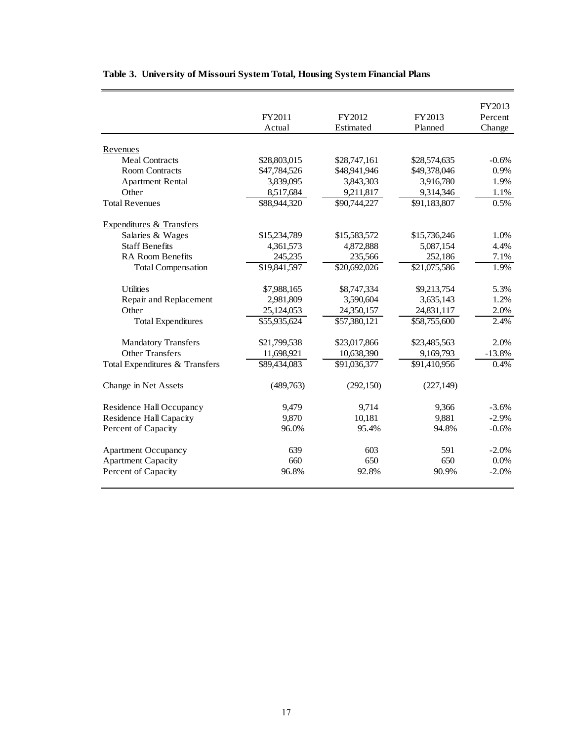|                                |              |                          |              | FY2013   |
|--------------------------------|--------------|--------------------------|--------------|----------|
|                                | FY2011       | FY2012                   | FY2013       | Percent  |
|                                | Actual       | Estimated                | Planned      | Change   |
|                                |              |                          |              |          |
| Revenues                       |              |                          |              |          |
| <b>Meal Contracts</b>          | \$28,803,015 | \$28,747,161             | \$28,574,635 | $-0.6%$  |
| <b>Room Contracts</b>          | \$47,784,526 | \$48,941,946             | \$49,378,046 | 0.9%     |
| <b>Apartment Rental</b>        | 3,839,095    | 3,843,303                | 3,916,780    | 1.9%     |
| Other                          | 8,517,684    | 9,211,817                | 9,314,346    | 1.1%     |
| <b>Total Revenues</b>          | \$88,944,320 | \$90,744,227             | \$91,183,807 | 0.5%     |
| Expenditures & Transfers       |              |                          |              |          |
| Salaries & Wages               | \$15,234,789 | \$15,583,572             | \$15,736,246 | 1.0%     |
| <b>Staff Benefits</b>          | 4,361,573    | 4,872,888                | 5,087,154    | 4.4%     |
| <b>RA Room Benefits</b>        | 245,235      | 235,566                  | 252,186      | 7.1%     |
| <b>Total Compensation</b>      | \$19,841,597 | \$20,692,026             | \$21,075,586 | 1.9%     |
| <b>Utilities</b>               | \$7,988,165  | \$8,747,334              | \$9,213,754  | 5.3%     |
| Repair and Replacement         | 2,981,809    | 3,590,604                | 3,635,143    | 1.2%     |
| Other                          | 25,124,053   | 24,350,157               | 24,831,117   | 2.0%     |
| <b>Total Expenditures</b>      | \$55,935,624 | \$57,380,121             | \$58,755,600 | 2.4%     |
|                                |              |                          |              |          |
| <b>Mandatory Transfers</b>     | \$21,799,538 | \$23,017,866             | \$23,485,563 | 2.0%     |
| <b>Other Transfers</b>         | 11,698,921   | 10,638,390               | 9,169,793    | $-13.8%$ |
| Total Expenditures & Transfers | \$89,434,083 | $\overline{891,036,377}$ | \$91,410,956 | 0.4%     |
| Change in Net Assets           | (489,763)    | (292,150)                | (227, 149)   |          |
| Residence Hall Occupancy       | 9,479        | 9,714                    | 9,366        | $-3.6%$  |
| <b>Residence Hall Capacity</b> | 9,870        | 10,181                   | 9,881        | $-2.9%$  |
| Percent of Capacity            | 96.0%        | 95.4%                    | 94.8%        | $-0.6%$  |
| <b>Apartment Occupancy</b>     | 639          | 603                      | 591          | $-2.0%$  |
| <b>Apartment Capacity</b>      | 660          | 650                      | 650          | 0.0%     |
| Percent of Capacity            | 96.8%        | 92.8%                    | 90.9%        | $-2.0%$  |
|                                |              |                          |              |          |

# **Table 3. University of Missouri System Total, Housing System Financial Plans**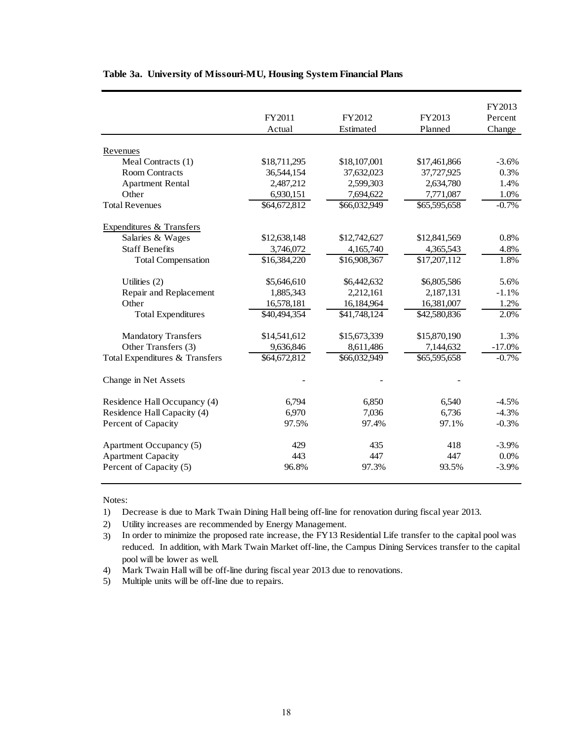|                                     |              |              |              | FY2013   |
|-------------------------------------|--------------|--------------|--------------|----------|
|                                     | FY2011       | FY2012       | FY2013       | Percent  |
|                                     | Actual       | Estimated    | Planned      | Change   |
| Revenues                            |              |              |              |          |
| Meal Contracts (1)                  | \$18,711,295 | \$18,107,001 | \$17,461,866 | $-3.6%$  |
| <b>Room Contracts</b>               | 36,544,154   | 37,632,023   | 37,727,925   | 0.3%     |
| <b>Apartment Rental</b>             | 2,487,212    | 2,599,303    | 2,634,780    | 1.4%     |
| Other                               | 6,930,151    | 7,694,622    | 7,771,087    | 1.0%     |
| <b>Total Revenues</b>               | \$64,672,812 | \$66,032,949 | \$65,595,658 | $-0.7%$  |
| <b>Expenditures &amp; Transfers</b> |              |              |              |          |
| Salaries & Wages                    | \$12,638,148 | \$12,742,627 | \$12,841,569 | 0.8%     |
| <b>Staff Benefits</b>               | 3,746,072    | 4,165,740    | 4,365,543    | 4.8%     |
| <b>Total Compensation</b>           | \$16,384,220 | \$16,908,367 | \$17,207,112 | 1.8%     |
| Utilities (2)                       | \$5,646,610  | \$6,442,632  | \$6,805,586  | 5.6%     |
| Repair and Replacement              | 1,885,343    | 2,212,161    | 2,187,131    | $-1.1%$  |
| Other                               | 16,578,181   | 16,184,964   | 16,381,007   | 1.2%     |
| <b>Total Expenditures</b>           | \$40,494,354 | \$41,748,124 | \$42,580,836 | 2.0%     |
| <b>Mandatory Transfers</b>          | \$14,541,612 | \$15,673,339 | \$15,870,190 | 1.3%     |
| Other Transfers (3)                 | 9,636,846    | 8,611,486    | 7,144,632    | $-17.0%$ |
| Total Expenditures & Transfers      | \$64,672,812 | \$66,032,949 | \$65,595,658 | $-0.7%$  |
| Change in Net Assets                |              |              |              |          |
| Residence Hall Occupancy (4)        | 6,794        | 6,850        | 6,540        | $-4.5%$  |
| Residence Hall Capacity (4)         | 6,970        | 7,036        | 6,736        | $-4.3%$  |
| Percent of Capacity                 | 97.5%        | 97.4%        | 97.1%        | $-0.3%$  |
| Apartment Occupancy (5)             | 429          | 435          | 418          | $-3.9%$  |
| <b>Apartment Capacity</b>           | 443          | 447          | 447          | 0.0%     |
| Percent of Capacity (5)             | 96.8%        | 97.3%        | 93.5%        | $-3.9%$  |

### **Table 3a. University of Missouri-MU, Housing System Financial Plans**

#### Notes:

- 1) Decrease is due to Mark Twain Dining Hall being off-line for renovation during fiscal year 2013.
- 2) Utility increases are recommended by Energy Management.

3) In order to minimize the proposed rate increase, the FY13 Residential Life transfer to the capital pool was reduced. In addition, with Mark Twain Market off-line, the Campus Dining Services transfer to the capital pool will be lower as well.

- 4) Mark Twain Hall will be off-line during fiscal year 2013 due to renovations.
- 5) Multiple units will be off-line due to repairs.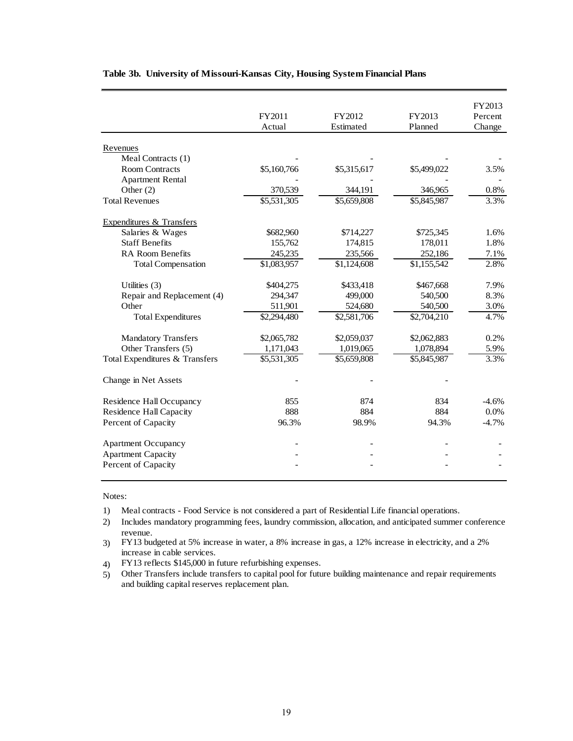|                                |             |             |                     | FY2013  |
|--------------------------------|-------------|-------------|---------------------|---------|
|                                | FY2011      | FY2012      | FY2013              | Percent |
|                                | Actual      | Estimated   | Planned             | Change  |
| Revenues                       |             |             |                     |         |
| Meal Contracts (1)             |             |             |                     |         |
| <b>Room Contracts</b>          | \$5,160,766 | \$5,315,617 | \$5,499,022         | 3.5%    |
| <b>Apartment Rental</b>        |             |             |                     |         |
| Other $(2)$                    | 370,539     | 344,191     | 346,965             | 0.8%    |
| <b>Total Revenues</b>          | \$5,531,305 | \$5,659,808 | \$5,845,987         | 3.3%    |
|                                |             |             |                     |         |
| Expenditures & Transfers       |             |             |                     |         |
| Salaries & Wages               | \$682,960   | \$714,227   | \$725,345           | 1.6%    |
| <b>Staff Benefits</b>          | 155,762     | 174,815     | 178,011             | 1.8%    |
| <b>RA Room Benefits</b>        | 245,235     | 235,566     | 252,186             | 7.1%    |
| <b>Total Compensation</b>      | \$1,083,957 | \$1,124,608 | \$1,155,542         | 2.8%    |
|                                |             |             |                     |         |
| Utilities $(3)$                | \$404,275   | \$433,418   | \$467,668           | 7.9%    |
| Repair and Replacement (4)     | 294,347     | 499,000     | 540,500             | 8.3%    |
| Other                          | 511,901     | 524,680     | 540,500             | 3.0%    |
| <b>Total Expenditures</b>      | \$2,294,480 | \$2,581,706 | $\sqrt{$2,704,210}$ | 4.7%    |
| <b>Mandatory Transfers</b>     | \$2,065,782 | \$2,059,037 | \$2,062,883         | 0.2%    |
| Other Transfers (5)            | 1,171,043   | 1,019,065   | 1,078,894           | 5.9%    |
| Total Expenditures & Transfers | \$5,531,305 | \$5,659,808 | \$5,845,987         | 3.3%    |
|                                |             |             |                     |         |
| Change in Net Assets           |             |             |                     |         |
| Residence Hall Occupancy       | 855         | 874         | 834                 | $-4.6%$ |
| <b>Residence Hall Capacity</b> | 888         | 884         | 884                 | 0.0%    |
| Percent of Capacity            | 96.3%       | 98.9%       | 94.3%               | $-4.7%$ |
|                                |             |             |                     |         |
| <b>Apartment Occupancy</b>     |             |             |                     |         |
| <b>Apartment Capacity</b>      |             |             |                     |         |
| Percent of Capacity            |             |             |                     |         |
|                                |             |             |                     |         |

### **Table 3b. University of Missouri-Kansas City, Housing System Financial Plans**

#### Notes:

- 1) Meal contracts Food Service is not considered a part of Residential Life financial operations.
- 2) Includes mandatory programming fees, laundry commission, allocation, and anticipated summer conference revenue.
- 3) FY13 budgeted at 5% increase in water, a 8% increase in gas, a 12% increase in electricity, and a 2% increase in cable services.
- 4) FY13 reflects \$145,000 in future refurbishing expenses.
- 5) Other Transfers include transfers to capital pool for future building maintenance and repair requirements and building capital reserves replacement plan.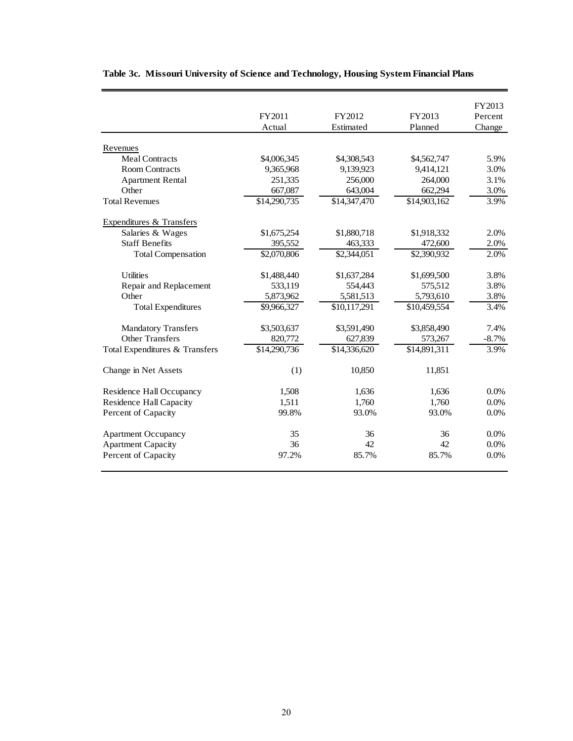|                                |              |              |                          | FY2013   |
|--------------------------------|--------------|--------------|--------------------------|----------|
|                                | FY2011       | FY2012       | FY2013                   | Percent  |
|                                | Actual       | Estimated    | Planned                  | Change   |
|                                |              |              |                          |          |
| Revenues                       |              |              |                          |          |
| <b>Meal Contracts</b>          | \$4,006,345  | \$4,308,543  | \$4,562,747              | 5.9%     |
| <b>Room Contracts</b>          | 9,365,968    | 9,139,923    | 9,414,121                | 3.0%     |
| <b>Apartment Rental</b>        | 251,335      | 256,000      | 264,000                  | 3.1%     |
| Other                          | 667,087      | 643,004      | 662,294                  | 3.0%     |
| <b>Total Revenues</b>          | \$14,290,735 | \$14,347,470 | \$14,903,162             | 3.9%     |
| Expenditures & Transfers       |              |              |                          |          |
| Salaries & Wages               | \$1,675,254  | \$1,880,718  | \$1,918,332              | 2.0%     |
| <b>Staff Benefits</b>          | 395,552      | 463,333      | 472,600                  | 2.0%     |
| <b>Total Compensation</b>      | \$2,070,806  | \$2,344,051  | \$2,390,932              | 2.0%     |
| <b>Utilities</b>               | \$1,488,440  | \$1,637,284  | \$1,699,500              | 3.8%     |
| Repair and Replacement         | 533,119      | 554,443      | 575,512                  | 3.8%     |
| Other                          | 5,873,962    | 5,581,513    | 5,793,610                | 3.8%     |
| <b>Total Expenditures</b>      | \$9,966,327  | \$10,117,291 | \$10,459,554             | 3.4%     |
| <b>Mandatory Transfers</b>     | \$3,503,637  | \$3,591,490  | \$3,858,490              | 7.4%     |
| <b>Other Transfers</b>         | 820,772      | 627,839      | 573,267                  | $-8.7\%$ |
| Total Expenditures & Transfers | \$14,290,736 | \$14,336,620 | $\overline{$}14,891,311$ | 3.9%     |
| Change in Net Assets           | (1)          | 10,850       | 11,851                   |          |
| Residence Hall Occupancy       | 1,508        | 1,636        | 1,636                    | 0.0%     |
| <b>Residence Hall Capacity</b> | 1,511        | 1,760        | 1,760                    | $0.0\%$  |
| Percent of Capacity            | 99.8%        | 93.0%        | 93.0%                    | 0.0%     |
| <b>Apartment Occupancy</b>     | 35           | 36           | 36                       | 0.0%     |
| <b>Apartment Capacity</b>      | 36           | 42           | 42                       | 0.0%     |
| Percent of Capacity            | 97.2%        | 85.7%        | 85.7%                    | 0.0%     |

## **Table 3c. Missouri University of Science and Technology, Housing System Financial Plans**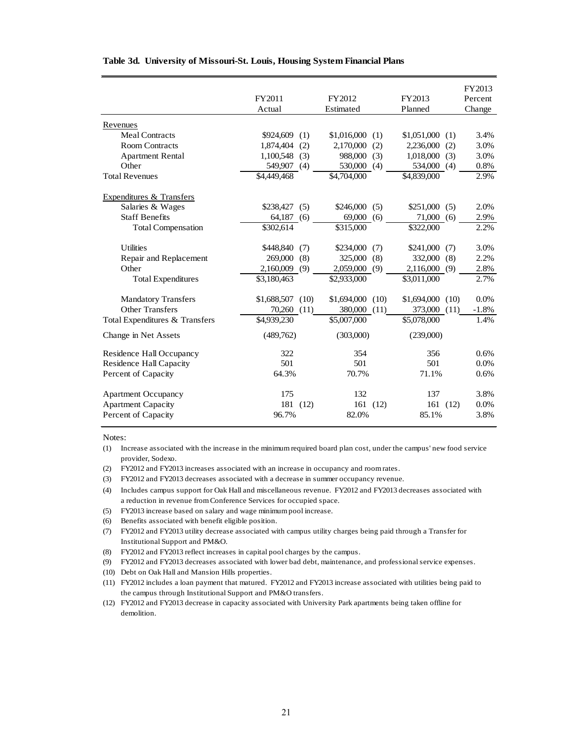|                                | FY2011<br>Actual  | FY2012<br>Estimated | FY2013<br>Planned  | FY2013<br>Percent<br>Change |
|--------------------------------|-------------------|---------------------|--------------------|-----------------------------|
| Revenues                       |                   |                     |                    |                             |
| <b>Meal Contracts</b>          | \$924,609<br>(1)  | \$1,016,000<br>(1)  | \$1,051,000<br>(1) | 3.4%                        |
| <b>Room Contracts</b>          | 1.874.404<br>(2)  | 2,170,000<br>(2)    | 2,236,000<br>(2)   | 3.0%                        |
| <b>Apartment Rental</b>        | $1,100,548$ (3)   | 988,000<br>(3)      | 1,018,000<br>(3)   | 3.0%                        |
| Other                          | 549,907<br>(4)    | 530,000<br>(4)      | 534,000<br>(4)     | 0.8%                        |
| <b>Total Revenues</b>          | \$4,449,468       | \$4,704,000         | \$4,839,000        | 2.9%                        |
| Expenditures & Transfers       |                   |                     |                    |                             |
| Salaries & Wages               | $$238,427$ (5)    | \$246,000<br>(5)    | \$251,000<br>(5)   | 2.0%                        |
| <b>Staff Benefits</b>          | 64,187<br>(6)     | 69,000<br>(6)       | 71,000<br>(6)      | 2.9%                        |
| <b>Total Compensation</b>      | \$302,614         | \$315,000           | \$322,000          | 2.2%                        |
| <b>Utilities</b>               | \$448,840<br>(7)  | \$234,000<br>(7)    | \$241,000<br>(7)   | 3.0%                        |
| Repair and Replacement         | 269,000<br>(8)    | 325,000<br>(8)      | 332,000<br>(8)     | 2.2%                        |
| Other                          | 2,160,009<br>(9)  | 2,059,000<br>(9)    | 2,116,000<br>(9)   | 2.8%                        |
| <b>Total Expenditures</b>      | \$3,180,463       | \$2,933,000         | \$3,011,000        | 2.7%                        |
| <b>Mandatory Transfers</b>     | $$1,688,507$ (10) | $$1,694,000$ (10)   | $$1,694,000$ (10)  | 0.0%                        |
| <b>Other Transfers</b>         | 70,260<br>(11)    | 380,000<br>(11)     | 373,000<br>(11)    | $-1.8%$                     |
| Total Expenditures & Transfers | \$4,939,230       | \$5,007,000         | \$5,078,000        | 1.4%                        |
| Change in Net Assets           | (489,762)         | (303,000)           | (239,000)          |                             |
| Residence Hall Occupancy       | 322               | 354                 | 356                | 0.6%                        |
| Residence Hall Capacity        | 501               | 501                 | 501                | 0.0%                        |
| Percent of Capacity            | 64.3%             | 70.7%               | 71.1%              | 0.6%                        |
| <b>Apartment Occupancy</b>     | 175               | 132                 | 137                | 3.8%                        |
| <b>Apartment Capacity</b>      | 181<br>(12)       | 161<br>(12)         | 161<br>(12)        | 0.0%                        |
| Percent of Capacity            | 96.7%             | 82.0%               | 85.1%              | 3.8%                        |

#### **Table 3d. University of Missouri-St. Louis, Housing System Financial Plans**

Notes:

- (2) FY2012 and FY2013 increases associated with an increase in occupancy and room rates.
- (3) FY2012 and FY2013 decreases associated with a decrease in summer occupancy revenue.
- (4) Includes campus support for Oak Hall and miscellaneous revenue. FY2012 and FY2013 decreases associated with a reduction in revenue from Conference Services for occupied space.
- (5) FY2013 increase based on salary and wage minimum pool increase.
- (6) Benefits associated with benefit eligible position.
- (7) FY2012 and FY2013 utility decrease associated with campus utility charges being paid through a Transfer for Institutional Support and PM&O.
- (8) FY2012 and FY2013 reflect increases in capital pool charges by the campus.
- (9) FY2012 and FY2013 decreases associated with lower bad debt, maintenance, and professional service expenses.
- (10) Debt on Oak Hall and Mansion Hills properties.
- (11) FY2012 includes a loan payment that matured. FY2012 and FY2013 increase associated with utilities being paid to the campus through Institutional Support and PM&O transfers.
- (12) FY2012 and FY2013 decrease in capacity associated with University Park apartments being taken offline for demolition.

<sup>(1)</sup> Increase associated with the increase in the minimum required board plan cost, under the campus' new food service provider, Sodexo.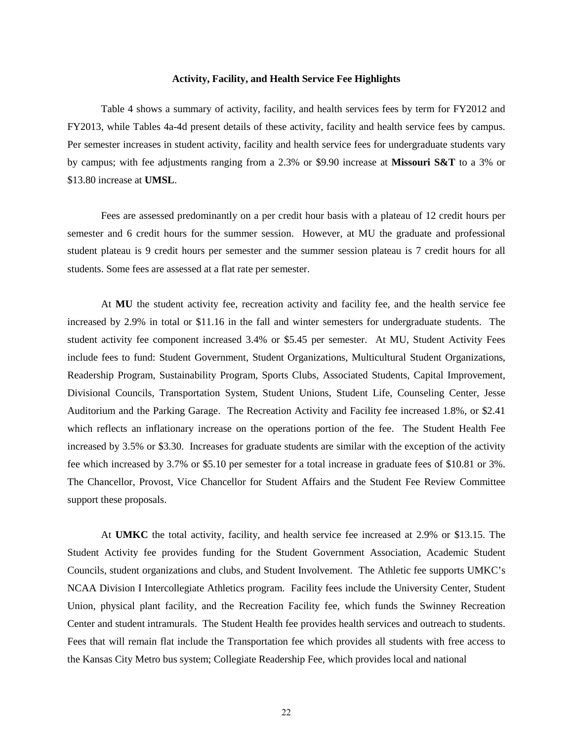### **Activity, Facility, and Health Service Fee Highlights**

Table 4 shows a summary of activity, facility, and health services fees by term for FY2012 and FY2013, while Tables 4a-4d present details of these activity, facility and health service fees by campus. Per semester increases in student activity, facility and health service fees for undergraduate students vary by campus; with fee adjustments ranging from a 2.3% or \$9.90 increase at **Missouri S&T** to a 3% or \$13.80 increase at **UMSL**.

Fees are assessed predominantly on a per credit hour basis with a plateau of 12 credit hours per semester and 6 credit hours for the summer session. However, at MU the graduate and professional student plateau is 9 credit hours per semester and the summer session plateau is 7 credit hours for all students. Some fees are assessed at a flat rate per semester.

At **MU** the student activity fee, recreation activity and facility fee, and the health service fee increased by 2.9% in total or \$11.16 in the fall and winter semesters for undergraduate students. The student activity fee component increased 3.4% or \$5.45 per semester. At MU, Student Activity Fees include fees to fund: Student Government, Student Organizations, Multicultural Student Organizations, Readership Program, Sustainability Program, Sports Clubs, Associated Students, Capital Improvement, Divisional Councils, Transportation System, Student Unions, Student Life, Counseling Center, Jesse Auditorium and the Parking Garage. The Recreation Activity and Facility fee increased 1.8%, or \$2.41 which reflects an inflationary increase on the operations portion of the fee. The Student Health Fee increased by 3.5% or \$3.30. Increases for graduate students are similar with the exception of the activity fee which increased by 3.7% or \$5.10 per semester for a total increase in graduate fees of \$10.81 or 3%. The Chancellor, Provost, Vice Chancellor for Student Affairs and the Student Fee Review Committee support these proposals.

At **UMKC** the total activity, facility, and health service fee increased at 2.9% or \$13.15. The Student Activity fee provides funding for the Student Government Association, Academic Student Councils, student organizations and clubs, and Student Involvement. The Athletic fee supports UMKC's NCAA Division I Intercollegiate Athletics program. Facility fees include the University Center, Student Union, physical plant facility, and the Recreation Facility fee, which funds the Swinney Recreation Center and student intramurals. The Student Health fee provides health services and outreach to students. Fees that will remain flat include the Transportation fee which provides all students with free access to the Kansas City Metro bus system; Collegiate Readership Fee, which provides local and national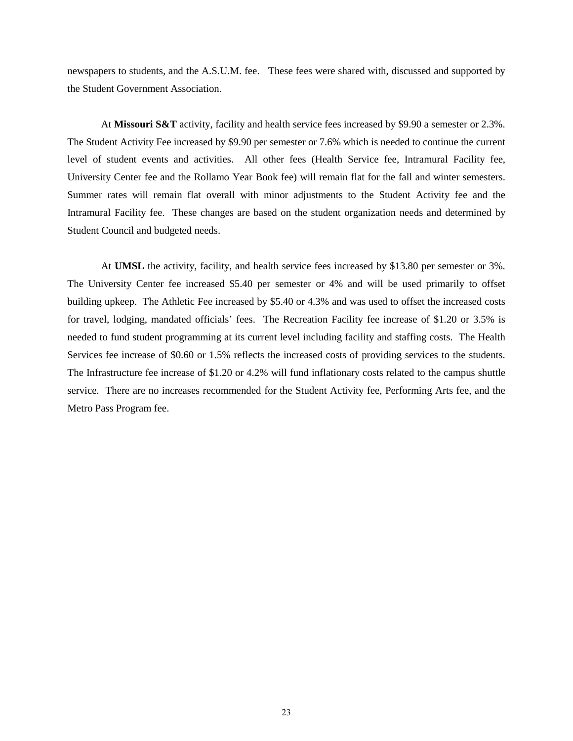newspapers to students, and the A.S.U.M. fee. These fees were shared with, discussed and supported by the Student Government Association.

At **Missouri S&T** activity, facility and health service fees increased by \$9.90 a semester or 2.3%. The Student Activity Fee increased by \$9.90 per semester or 7.6% which is needed to continue the current level of student events and activities. All other fees (Health Service fee, Intramural Facility fee, University Center fee and the Rollamo Year Book fee) will remain flat for the fall and winter semesters. Summer rates will remain flat overall with minor adjustments to the Student Activity fee and the Intramural Facility fee. These changes are based on the student organization needs and determined by Student Council and budgeted needs.

At **UMSL** the activity, facility, and health service fees increased by \$13.80 per semester or 3%. The University Center fee increased \$5.40 per semester or 4% and will be used primarily to offset building upkeep. The Athletic Fee increased by \$5.40 or 4.3% and was used to offset the increased costs for travel, lodging, mandated officials' fees. The Recreation Facility fee increase of \$1.20 or 3.5% is needed to fund student programming at its current level including facility and staffing costs. The Health Services fee increase of \$0.60 or 1.5% reflects the increased costs of providing services to the students. The Infrastructure fee increase of \$1.20 or 4.2% will fund inflationary costs related to the campus shuttle service. There are no increases recommended for the Student Activity fee, Performing Arts fee, and the Metro Pass Program fee.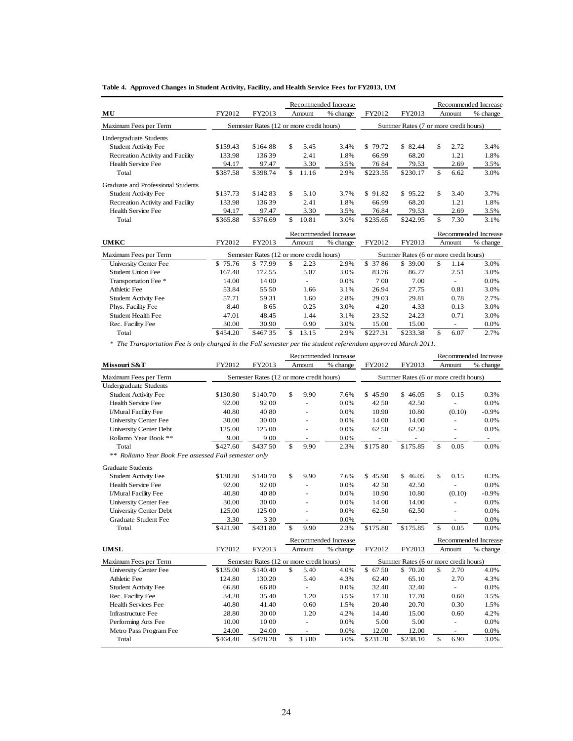**Table 4. Approved Changes in Student Activity, Facility, and Health Service Fees for FY2013, UM**

|                                    |          |          |                                          | Recommended Increase |              |          |                                       | Recommended Increase |
|------------------------------------|----------|----------|------------------------------------------|----------------------|--------------|----------|---------------------------------------|----------------------|
| MU                                 | FY2012   | FY2013   | Amount                                   | % change             | FY2012       | FY2013   | Amount                                | % change             |
| Maximum Fees per Term              |          |          | Semester Rates (12 or more credit hours) |                      |              |          | Summer Rates (7 or more credit hours) |                      |
| <b>Undergraduate Students</b>      |          |          |                                          |                      |              |          |                                       |                      |
| <b>Student Activity Fee</b>        | \$159.43 | \$164.88 | \$<br>5.45                               | 3.4%                 | \$.<br>79.72 | \$ 82.44 | \$<br>2.72                            | 3.4%                 |
| Recreation Activity and Facility   | 133.98   | 13639    | 2.41                                     | 1.8%                 | 66.99        | 68.20    | 1.21                                  | 1.8%                 |
| Health Service Fee                 | 94.17    | 97.47    | 3.30                                     | 3.5%                 | 7684         | 79.53    | 2.69                                  | 3.5%                 |
| Total                              | \$387.58 | \$398.74 | $\mathcal{S}$<br>11.16                   | 2.9%                 | \$223.55     | \$230.17 | $\mathcal{S}$<br>6.62                 | 3.0%                 |
| Graduate and Professional Students |          |          |                                          |                      |              |          |                                       |                      |
| <b>Student Activity Fee</b>        | \$137.73 | \$14283  | \$<br>5.10                               | 3.7%                 | \$91.82      | \$95.22  | \$<br>3.40                            | 3.7%                 |
| Recreation Activity and Facility   | 133.98   | 136.39   | 2.41                                     | 1.8%                 | 66.99        | 68.20    | 1.21                                  | 1.8%                 |
| <b>Health Service Fee</b>          | 94.17    | 97.47    | 3.30                                     | 3.5%                 | 76.84        | 79.53    | 2.69                                  | 3.5%                 |
| Total                              | \$365.88 | \$376.69 | \$<br>10.81                              | 3.0%                 | \$235.65     | \$242.95 | \$<br>7.30                            | 3.1%                 |
|                                    |          |          |                                          | Recommended Increase |              |          |                                       | Recommended Increase |
| <b>UMKC</b>                        | FY2012   | FY2013   | Amount                                   | % change             | FY2012       | FY2013   | Amount                                | % change             |
| Maximum Fees per Term              |          |          | Semester Rates (12 or more credit hours) |                      |              |          | Summer Rates (6 or more credit hours) |                      |
| <b>University Center Fee</b>       | \$75.76  | \$77.99  | \$<br>2.23                               | 2.9%                 | \$ 37 86     | \$39.00  | \$.<br>1.14                           | 3.0%                 |
| <b>Student Union Fee</b>           | 167.48   | 172.55   | 5.07                                     | 3.0%                 | 83.76        | 86.27    | 2.51                                  | 3.0%                 |
| Transportation Fee *               | 14.00    | 14 00    | $\blacksquare$                           | 0.0%                 | 700          | 7.00     |                                       | 0.0%                 |
| Athletic Fee                       | 53.84    | 55.50    | 1.66                                     | 3.1%                 | 26.94        | 27.75    | 0.81                                  | 3.0%                 |
| <b>Student Activity Fee</b>        | 57.71    | 59 31    | 1.60                                     | 2.8%                 | 29 03        | 29.81    | 0.78                                  | 2.7%                 |
| Phys. Facility Fee                 | 8.40     | 865      | 0.25                                     | 3.0%                 | 4.20         | 4.33     | 0.13                                  | 3.0%                 |
| Student Health Fee                 | 47.01    | 48.45    | 1.44                                     | 3.1%                 | 23.52        | 24.23    | 0.71                                  | 3.0%                 |
| Rec. Facility Fee                  | 30.00    | 30.90    | 0.90                                     | 3.0%                 | 15.00        | 15.00    |                                       | 0.0%                 |
| Total                              | \$454.20 | \$46735  | \$<br>13.15                              | 2.9%                 | \$227.31     | \$233.38 | \$<br>6.07                            | 2.7%                 |

*\* The Transportation Fee is only charged in the Fall semester per the student referendum approved March 2011.*

|                                                      |          |                                          |                | Recommended Increase |          |                                       |               |                          | Recommended Increase     |
|------------------------------------------------------|----------|------------------------------------------|----------------|----------------------|----------|---------------------------------------|---------------|--------------------------|--------------------------|
| Missouri S&T                                         | FY2012   | FY2013                                   | Amount         | % change             | FY2012   | FY2013                                |               | Amount                   | % change                 |
| Maximum Fees per Term                                |          | Semester Rates (12 or more credit hours) |                |                      |          | Summer Rates (6 or more credit hours) |               |                          |                          |
| <b>Undergraduate Students</b>                        |          |                                          |                |                      |          |                                       |               |                          |                          |
| <b>Student Activity Fee</b>                          | \$130.80 | \$140.70                                 | \$<br>9.90     | 7.6%                 | \$45.90  | \$46.05                               | \$            | 0.15                     | 0.3%                     |
| <b>Health Service Fee</b>                            | 92.00    | 92 00                                    |                | 0.0%                 | 42 50    | 42.50                                 |               |                          | 0.0%                     |
| I/Mural Facility Fee                                 | 40.80    | 40 80                                    |                | 0.0%                 | 10.90    | 10.80                                 |               | (0.10)                   | $-0.9\%$                 |
| <b>University Center Fee</b>                         | 30.00    | 30 00                                    |                | 0.0%                 | 14 00    | 14.00                                 |               |                          | 0.0%                     |
| <b>University Center Debt</b>                        | 125.00   | 125 00                                   |                | 0.0%                 | 62 50    | 62.50                                 |               |                          | 0.0%                     |
| Rollamo Year Book **                                 | 9.00     | 9 0 0                                    |                | 0.0%                 |          |                                       |               | $\overline{\phantom{a}}$ | $\overline{\phantom{a}}$ |
| Total                                                | \$427.60 | \$437 50                                 | \$<br>9.90     | 2.3%                 | \$175 80 | \$175.85                              | \$            | 0.05                     | 0.0%                     |
| ** Rollamo Year Book Fee assessed Fall semester only |          |                                          |                |                      |          |                                       |               |                          |                          |
| <b>Graduate Students</b>                             |          |                                          |                |                      |          |                                       |               |                          |                          |
| <b>Student Activity Fee</b>                          | \$130.80 | \$140.70                                 | \$<br>9.90     | 7.6%                 | \$45.90  | \$46.05                               | \$            | 0.15                     | 0.3%                     |
| Health Service Fee                                   | 92.00    | 92 00                                    |                | 0.0%                 | 42 50    | 42.50                                 |               |                          | 0.0%                     |
| I/Mural Facility Fee                                 | 40.80    | 40 80                                    |                | 0.0%                 | 10.90    | 10.80                                 |               | (0.10)                   | $-0.9\%$                 |
| <b>University Center Fee</b>                         | 30.00    | 30 00                                    |                | 0.0%                 | 14 00    | 14.00                                 |               |                          | 0.0%                     |
| <b>University Center Debt</b>                        | 125.00   | 125 00                                   | ÷,             | 0.0%                 | 62.50    | 62.50                                 |               |                          | 0.0%                     |
| <b>Graduate Student Fee</b>                          | 3.30     | 3 3 0                                    | $\blacksquare$ | 0.0%                 |          |                                       |               |                          | 0.0%                     |
| Total                                                | \$421.90 | \$431 80                                 | \$<br>9.90     | 2.3%                 | \$175.80 | \$175.85                              | $\mathcal{S}$ | 0.05                     | 0.0%                     |
|                                                      |          |                                          |                | Recommended Increase |          |                                       |               |                          | Recommended Increase     |
| <b>UMSL</b>                                          | FY2012   | FY2013                                   | Amount         | % change             | FY2012   | FY2013                                |               | Amount                   | % change                 |
| Maximum Fees per Term                                |          | Semester Rates (12 or more credit hours) |                |                      |          | Summer Rates (6 or more credit hours) |               |                          |                          |
| <b>University Center Fee</b>                         | \$135.00 | \$140.40                                 | \$<br>5.40     | 4.0%                 | \$6750   | \$70.20                               | \$            | 2.70                     | 4.0%                     |
| Athletic Fee                                         | 124.80   | 130.20                                   | 5.40           | 4.3%                 | 62.40    | 65.10                                 |               | 2.70                     | 4.3%                     |
| <b>Student Activity Fee</b>                          | 66.80    | 6680                                     | ä,             | 0.0%                 | 32.40    | 32.40                                 |               |                          | 0.0%                     |
| Rec. Facility Fee                                    | 34.20    | 35.40                                    | 1.20           | 3.5%                 | 17.10    | 17.70                                 |               | 0.60                     | 3.5%                     |
| <b>Health Services Fee</b>                           | 40.80    | 41.40                                    | 0.60           | 1.5%                 | 20.40    | 20.70                                 |               | 0.30                     | 1.5%                     |
| Infrastructure Fee                                   | 28.80    | 30 00                                    | 1.20           | 4.2%                 | 14.40    | 15.00                                 |               | 0.60                     | 4.2%                     |
| Performing Arts Fee                                  | 10.00    | 10 00                                    |                | 0.0%                 | 5.00     | 5.00                                  |               |                          | 0.0%                     |
| Metro Pass Program Fee                               | 24.00    | 24.00                                    | $\equiv$       | 0.0%                 | 12.00    | 12.00                                 |               | ٠                        | 0.0%                     |
| Total                                                | \$464.40 | \$478.20                                 | \$<br>13.80    | 3.0%                 | \$231.20 | \$238.10                              | $\mathbf S$   | 6.90                     | 3.0%                     |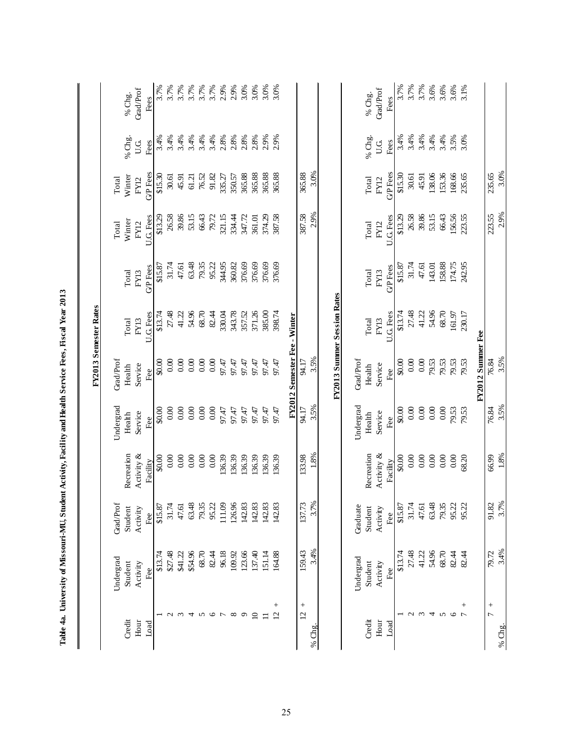|                          |           |           |            |           |                              | FY2013 Semester Rates       |                |             |                |        |                  |
|--------------------------|-----------|-----------|------------|-----------|------------------------------|-----------------------------|----------------|-------------|----------------|--------|------------------|
|                          | Undergrad | Grad/Prof |            | Undergrad | GradProf                     |                             |                | Total       | Total          |        |                  |
| Credit                   | Student   | Student   | Recreation | Health    | Health                       | Total                       | Total          | Winter      | Winter         | % Chg. | % Chg.           |
| Hour                     | Activity  | Activity  | Activity & | Service   | Service                      | FY13                        | FY13           | FY12        | <b>FY12</b>    | U.G    | Grad/Prof        |
| Load                     | Fee       | Fee       | Facility   | Fee       | Fee                          | U.G. Fees                   | <b>GP</b> Fees | U.G. Fees   | <b>GP</b> Fees | Fees   | Fees             |
|                          | \$13.74   | \$15.87   | \$0.00     | \$0.00    | \$0.00                       | \$13.74                     | \$15.87        | \$13.29     | \$15.30        | 3.4%   | 3.7%             |
| $\mathcal{L}$            | \$27.48   | 31.74     | 0.00       | 0.00      | 0.00                         | 27.48                       | 31.74          | 26.58       | 30.61          | 3.4%   | 3.7%             |
| $\epsilon$               | \$41.22   | 47.61     | 0.00       | 0.00      | 0.00                         | 41.22                       | 47.61          | 39.86       | 45.91          | 3.4%   | 3.7%             |
| 4                        | \$54.96   | 63.48     | $0.00\,$   | 0.00      | 0.00                         | 54.96                       | 63.48          | 53.15       | 61.21          | 3.4%   | 3.7%             |
| S                        | 68.70     | 79.35     | 0.00       | 0.00      | $0.00\,$                     | 68.70                       | 79.35          | 66.43       | 76.52          | 3.4%   | 3.7%             |
| 0                        | 82.44     | 95.22     | 0.00       | 0.00      | 0.00                         | 82.44                       | 95.22          | 79.72       | 91.82          | 3.4%   | $3.7%$<br>$2.9%$ |
|                          | 96.18     | 111.09    | 136.39     | 97.47     | 97.47                        | 330.04                      | 344.95         | 321.15      | 335.27         | 2.8%   |                  |
| $\infty$                 | 109.92    | 126.96    | 136.39     | 97.47     | 97.47                        | 343.78                      | 360.82         | 334.44      | 350.57         | 2.8%   | 2.9%             |
| $\sigma$                 | 123.66    | 142.83    | 136.39     | 97.47     | 97.47                        | 357.52                      | 376.69         | 347.72      | 365.88         | 2.8%   | 3.0%             |
| $\overline{10}$          | 137.40    | 142.83    | 136.39     | 97.47     | 97.47                        | 371.26                      | 376.69         | 361.01      | 365.88         | 2.8%   | 3.0%             |
| $\Xi$                    | 151.14    | 142.83    | 136.39     | 97.47     | 97.47                        | 385.00                      | 376.69         | 374.29      | 365.88         | 2.9%   | 3.0%             |
| $^{+}$<br>$\overline{2}$ | 164.88    | 142.83    | 136.39     | 97.47     | 97.47                        | 398.74                      | 376.69         | 387.58      | 365.88         | 2.9%   | 3.0%             |
|                          |           |           |            |           | FY2012 Semester Fee - Winter |                             |                |             |                |        |                  |
| $^{+}$<br>$\overline{c}$ | 159.43    | 137.73    | 133.98     | 94.17     | 94.17                        |                             |                | 387.58      | 365.88         |        |                  |
| % Chg.                   | 3.4%      | 3.7%      | $1.8\%$    | 3.5%      | 3.5%                         |                             |                | 2.9%        | 3.0%           |        |                  |
|                          |           |           |            |           |                              | FY2013 Summer Session Rates |                |             |                |        |                  |
|                          | Undergrad | Graduate  |            | Undergrad | Grad/Prof                    |                             |                |             |                |        |                  |
| Credit                   | Student   | Student   | Recreation | Health    | Health                       | Total                       | Total          | Total       | Total          | % Chg. | % Chg.           |
| Hour                     | Activity  | Activity  | Activity & | Service   | Service                      | FY13                        | FY13           | <b>FY12</b> | FY12           | U.G.   | <b>Grad/Prof</b> |
| Load                     | Fee       | Fee       | Facility   | Fee       | Fee                          | U.G. Fees                   | <b>GP</b> Fees | U.G. Fees   | <b>GP</b> Fees | Fees   | Fees             |
|                          | \$13.74   | \$15.87   | \$0.00     | \$0.00    | \$0.00                       | \$13.74                     | \$15.87        | \$13.29     | \$15.30        | 3.4%   | 3.7%             |
| $\mathcal{L}$            | 27.48     | 31.74     | $0.00\,$   | $0.00$    | $0.00\,$                     | 27.48                       | 31.74          | 26.58       | 30.61          | 3.4%   | 3.7%             |
| $\epsilon$               | 41.22     | 47.61     | 0.00       | 0.00      | $0.00$                       | 41.22                       | 47.61          | 39.86       | 45.91          | 3.4%   | 3.7%             |
| 4                        | 54.96     | 63.48     | 0.00       | 0.00      | 79.53                        | 54.96                       | 143.01         | 53.15       | 138.06         | 3.4%   | 3.6%             |
| 5                        | 68.70     | 79.35     | $0.00\,$   | 0.00      | 79.53                        | 68.70                       | 158.88         | 66.43       | 153.36         | 3.4%   | $3.6%$<br>$3.6%$ |
| $\circ$                  | 82.44     | 95.22     | 0.00       | 79.53     | 79.53                        | 161.97                      | 174.75         | 156.56      | 168.66         | 3.5%   |                  |
| $^{+}$<br>$\overline{r}$ | 82.44     | 95.22     | 68.20      | 79.53     | 79.53                        | 230.17                      | 242.95         | 223.55      | 235.65         | 3.0%   | 3.1%             |
|                          |           |           |            |           | FY2012 Summer Fee            |                             |                |             |                |        |                  |
| $^{+}$<br>$\overline{C}$ | 79.72     | 91.82     | 66.99      | 76.84     | 76.84                        |                             |                | 223.55      | 235.65         |        |                  |
| % Chg.                   | 3.4%      | 3.7%      | $1.8\%$    | 3.5%      | 3.5%                         |                             |                | 2.9%        | 3.0%           |        |                  |

Table 4a. University of Missouri-MU, Student Activity, Facility and Health Service Fees, Fiscal Year 2013  **Table 4a. University of Missouri-MU, Student Activity, Facility and Health Service Fees, Fiscal Year 2013**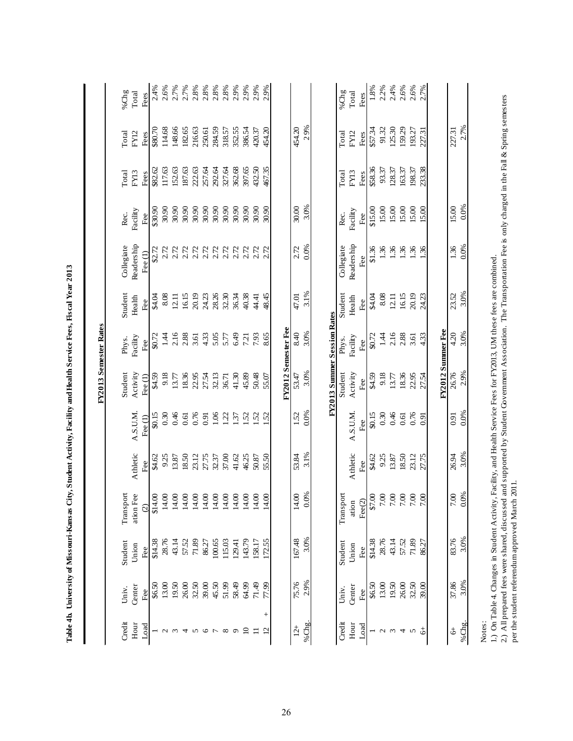|                          |               |                                                                                           |                                                                                                                        |                 |                       |                             | FY2013 Semester Rates |               |                                                                                                                        |                 |              |              |                                      |
|--------------------------|---------------|-------------------------------------------------------------------------------------------|------------------------------------------------------------------------------------------------------------------------|-----------------|-----------------------|-----------------------------|-----------------------|---------------|------------------------------------------------------------------------------------------------------------------------|-----------------|--------------|--------------|--------------------------------------|
| Credit                   | Univ.         | Student                                                                                   | Transport                                                                                                              |                 |                       | Student                     | Phys.                 | Student       | Collegiate                                                                                                             | Rec.            | Total        | Total        | % $Chg$                              |
| Hour<br>Load             | Center<br>Fee | Union<br>Fee                                                                              | ation Fee<br>$\widehat{c}$                                                                                             | Athletic<br>Fee | A.S.U.M.<br>Fee $(1)$ | Activity<br>Fee $(1)$       | Facility<br>Fee       | Health<br>Fee | Readership<br>Fee (1)                                                                                                  | Facility<br>Fee | FY13<br>Fees | FY12<br>Fees | Total<br>Fees                        |
|                          | \$6.50        | \$14.38                                                                                   | \$14.00                                                                                                                | 94.62           | \$0.15                | \$4.59                      | \$0.72                | <b>Rist</b>   | \$2.72                                                                                                                 | \$30.90         | \$82.62      | \$80.70      |                                      |
| $\sim$                   | 13.00         | 28.76                                                                                     | $14.00$                                                                                                                | 9.25            | 0.30                  | 9.18                        | 1.44                  | 8.08          | 2.72                                                                                                                   | 30.90           | 117.63       | 114.68       | $2.4\%$<br>$2.6\%$                   |
| $\epsilon$               | 19.50         | 43.14                                                                                     | $14.00$                                                                                                                | 13.87           | 0.46                  | 13.77                       | 2.16                  | 12.11         | 2.72                                                                                                                   | 30.90           | 152.63       | 148.66       | $2.7\%$<br>$2.7\%$                   |
| 4                        | 26.00         | 57.52                                                                                     | 14.00                                                                                                                  | 18.50           | 0.61                  | 18.36                       | 2.88                  | 16.15         | $2.72$<br>$2.72$                                                                                                       | 30.90           | 187.63       | 182.65       |                                      |
| $\sim$                   | 32.50         | $71.89\,$                                                                                 | 14.00                                                                                                                  | 23.12           | 0.76                  | 22.95                       | 3.61                  | 20.19         |                                                                                                                        | 30.90           | 222.63       | 216.63       |                                      |
| $\circ$                  | 39.00         | 86.27                                                                                     | $14.00$                                                                                                                | 27.75           | 0.91                  | 27.54                       | 4.33                  | 24.23         | 2.72                                                                                                                   | 30.90           | 257.64       | 250.61       |                                      |
| $\overline{ }$           | 45.50         | 100.65                                                                                    | $14.00$                                                                                                                | 32.37           | 1.06                  | 32.13                       | 5.05                  | 28.26         | 2.72                                                                                                                   | 30.90           | 292.64       | 284.59       | $2.8%$<br>$2.8%$<br>$2.8%$<br>$2.8%$ |
| $\infty$                 | 51.99         | 115.03                                                                                    | 14.00                                                                                                                  | 37.00           | 1.22                  | 36.71                       | 5.77                  | 32.30         | 2.72                                                                                                                   | 30.90           | 327.64       | 318.57       |                                      |
| $\sigma$                 | 58.49         | 129.41                                                                                    | $14.00$<br>14.00                                                                                                       | 41.62           | 137                   | 41.30                       | 6.49                  | 36.34         | 2.72                                                                                                                   | 30.90           | 362.68       | 352.55       | 2.9%                                 |
| $\Box$                   | 64.99         | 143.79                                                                                    |                                                                                                                        | 46.25           | 1.52                  | 45.89                       | 7.21                  | 40.38         | 2.72                                                                                                                   | 30.90           | 397.65       | 386.54       | 2.9%                                 |
| $\equiv$                 | 71.49         | 158.17                                                                                    | 14.00<br>14.00                                                                                                         | 50.87           | $\overline{S2}$       | 50.48                       | 7.93                  | 44.41         | 2.72<br>2.72                                                                                                           | 30.90           | 432.50       | 420.37       | 2.9%                                 |
| $^{+}$<br>$\overline{c}$ | 77.99         | 172.55                                                                                    |                                                                                                                        | 55.50           | $\overline{S2}$       | 55.07                       | 8.65                  | 48.45         |                                                                                                                        | 30.90           | 467.35       | 454.20       | 2.9%                                 |
|                          |               |                                                                                           |                                                                                                                        |                 |                       |                             | FY2012 Semester Fee   |               |                                                                                                                        |                 |              |              |                                      |
| $12+$                    | 75.76         | 167.48                                                                                    | 14.00                                                                                                                  | 53.84           | 1.52                  | 53.47                       | 8.40                  | 47.01         | 2.72                                                                                                                   | 30.00           |              | 454.20       |                                      |
| %Chg.                    | 2.9%          | 3.0%                                                                                      | 0.0%                                                                                                                   | 3.1%            | 0.0%                  | 3.0%                        | 3.0%                  | 3.1%          | 0.0%                                                                                                                   | 3.0%            |              | 29%          |                                      |
|                          |               |                                                                                           |                                                                                                                        |                 |                       | FY2013 Summer Session Rates |                       |               |                                                                                                                        |                 |              |              |                                      |
| Credit                   | Univ.         | Student                                                                                   | Transport                                                                                                              |                 |                       | Student                     | Phys.                 | Student       | Collegiate                                                                                                             | Rec.            | Total        | Total        | %Chg                                 |
| Hour                     | Center        | Union                                                                                     | ation                                                                                                                  | Athletic        | A.S.U.M.              | Activity                    | Facility              | Health        | Readership                                                                                                             | Facility        | FY13         | FY12         | Total                                |
| Load                     | Fee           | Fee                                                                                       | $\text{Fee}(2)$                                                                                                        | Fee             | Fee                   | Fee                         | Fee $\overline{ }$    | Fee           | Fee                                                                                                                    | Fee             | Fees         | Fees         | Fees                                 |
| $\overline{ }$           | \$6.50        | \$14.38                                                                                   | 00 1<br>00 1<br>00 1<br>00 13                                                                                          | \$4.62<br>9.25  | \$0.15                | \$4.59                      | \$0.72                | <b>A.A</b>    | \$1.36                                                                                                                 | \$15.00         | \$58.36      | \$57.34      |                                      |
| $\mathbf{c}$             | 13.00         | 28.76                                                                                     |                                                                                                                        |                 | 0.30                  | 9.18                        | 1.44                  | 8.08          | 1.36                                                                                                                   | 15.00           | 93.37        | 91.32        |                                      |
| $\omega$ 4               | 19.50         | 43.14                                                                                     |                                                                                                                        | 13.87           | 0.46                  | 13.77                       | 2.16                  | 12.11         | 1.36                                                                                                                   | 15.00           | 128.37       | 125.30       | $1.8%$<br>$2.2%$<br>$2.4%$<br>$2.5%$ |
|                          | 26.00         | 57.52                                                                                     |                                                                                                                        | $18.50\,$       | 0.61                  | 18.36                       | 2.88                  | 16.15         |                                                                                                                        | 15.00           | 163.37       | 159.29       |                                      |
| $\boldsymbol{\varsigma}$ | 32.50         | $71.89$                                                                                   | $7.00$ $% \leqslant 0.00$                                                                                              | 23.12           | 0.76                  | 22.95                       | 3.61                  | 20.19         | 1.36                                                                                                                   | 15.00           | 198.37       | 193.27       | 2.6%                                 |
| \$                       | 39.00         | 86.27                                                                                     |                                                                                                                        | 27.75           | 0.91                  | 27.54                       | 4.33                  | 24.23         | $\ddot{36}$                                                                                                            | 15.00           | 233.38       | 227.31       | 2.7%                                 |
|                          |               |                                                                                           |                                                                                                                        |                 |                       |                             | FY2012 Summer Fee     |               |                                                                                                                        |                 |              |              |                                      |
| $\ddot{\phi}$            | 37.86         | 83.76                                                                                     | $7.00$                                                                                                                 | 26.94           | 0.91                  | 26.76                       | 4.20                  | 23.52         | 1.36                                                                                                                   | 15.00           |              | 227.31       |                                      |
| %Chg.                    | 3.0%          | 3.0%                                                                                      | 0.0%                                                                                                                   | 3.0%            | 0.0%                  | 2.9%                        | 3.0%                  | 3.0%          | 0.0%                                                                                                                   | 0.0%            |              | 2.7%         |                                      |
| Notes:                   |               |                                                                                           |                                                                                                                        |                 |                       |                             |                       |               |                                                                                                                        |                 |              |              |                                      |
|                          |               |                                                                                           | 1.) On Table 4. Changes in Student Activity, Facility, and Health Service Fees for FY2013, UM these fees are combined. |                 |                       |                             |                       |               | and supported by Student Government Association. The Transportation Fee is only charged in the Fall & Spring semesters |                 |              |              |                                      |
|                          |               | 2.) All prepared fees were shared, discussed<br>per the student referendum approved March | 2011.                                                                                                                  |                 |                       |                             |                       |               |                                                                                                                        |                 |              |              |                                      |

Table 4b. University of Missouri-Kansas City, Student Activity, Facility and Health Service Fees, Fiscal Year 2013 **Table 4b. University of Missouri-Kansas City, Student Activity, Facility and Health Service Fees, Fiscal Year 2013**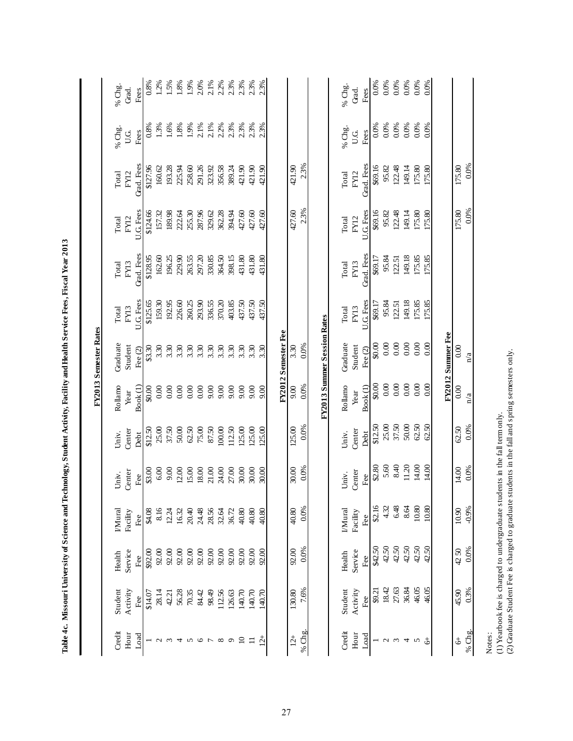|                 |                                                                                                                                                                                 |                |                 |               |                |                             | FY2013 Semester Rates       |                   |                    |                   |                    |             |                      |
|-----------------|---------------------------------------------------------------------------------------------------------------------------------------------------------------------------------|----------------|-----------------|---------------|----------------|-----------------------------|-----------------------------|-------------------|--------------------|-------------------|--------------------|-------------|----------------------|
| Credit          | Student                                                                                                                                                                         | Health         | <b>I/Mural</b>  | Univ.         | Univ.          | Rollamo                     | Graduate                    | Total             | Total              | Total             | Total              | % Chg.      | % Chg.               |
| Hour<br>Load    | Activity<br>Fee                                                                                                                                                                 | Service<br>Fee | Facility<br>Fee | Center<br>Fee | Center<br>Debt | Book <sub>(1)</sub><br>Year | Student<br>Fee (2)          | U.G. Fees<br>FY13 | Grad. Fees<br>FY13 | U.G. Fees<br>FY12 | Grad. Fees<br>FY12 | U.G<br>Fees | Grad.<br>Fees        |
|                 | \$14.07                                                                                                                                                                         | \$92.00        | \$4.08          | \$3.00        | \$12.50        | \$0.00                      | \$3.30                      | \$125.65          | \$128.95           | \$124.66          | \$127.96           | 0.8%        | 0.8%                 |
| $\sim$          | 28.14                                                                                                                                                                           | $92.00$        | 8.16            | $6.00$        | 25.00          | 0.00                        | 3.30                        | 159.30            | 162.60             | 157.32            | 160.62             | 1.3%        | 1.2%                 |
| $\epsilon$      | 42.21                                                                                                                                                                           | 92.00          | 12.24           | 9.00          | 37.50          | 0.00                        | 3.30                        | 192.95            | 196.25             | 189.98            | 193.28             | 1.6%        | 1.5%                 |
| $\overline{4}$  | 56.28                                                                                                                                                                           | 92.00          | 16.32           | 12.00         | $50.00$        | 0.00                        |                             | 226.60            | 229.90             | 222.64            | 225.94             | 1.8%        | $1.8\%$              |
|                 | 70.35                                                                                                                                                                           | 92.00          | 20.40           | 15.00         | $62.50$        | 0.00                        | $3.30$<br>$3.30$            | 260.25            | 263.55             | 255.30            | 258.60             | 1.9%        | $1.9%$<br>$2.0%$     |
| 500             | 84.42                                                                                                                                                                           | 92.00          | 24.48           | 18.00         | 75.00          | 0.00                        |                             | 293.90            | 297.20             | 287.96            | 291.26             | 2.1%        |                      |
|                 | 98.49                                                                                                                                                                           | 92.00          | 28.56           | 21.00         | 87.50          | 9.00                        | 3.30                        | 336.55            | 330.85             | 329.62            | 323.92             | 2.1%        | 2.1%                 |
| $\infty$        | 112.56                                                                                                                                                                          | 92.00          | 32.64           | 24.00         | 100.00         | 9.00                        | 3.30                        | 370.20            | 364.50             | 362.28            | 356.58             | 2.2%        | 2.2%                 |
| $\circ$         | 126.63                                                                                                                                                                          | $92.00$        | 36.72           | 27.00         | 112.50         | 9.00                        | 3.30                        | 403.85            | 398.15             | 394.94            | 389.24             | 2.3%        |                      |
| $\overline{10}$ | 140.70                                                                                                                                                                          | 92.00          | 40.80           | 30.00         | 125.00         | 9.00                        | 3.30                        | 437.50            | 431.80             | 427.60            | 421.90             | 2.3%        |                      |
| $\Box$          | 140.70                                                                                                                                                                          | 92.00          | 40.80           | 30.00         | 125.00         | 9.00                        | 3.30                        | 437.50            | 431.80             | 427.60            | 421.90             | 2.3%        | 2.3%<br>2.3%<br>2.3% |
| $12+$           | 140.70                                                                                                                                                                          | 92.00          | 40.80           | 30.00         | 125.00         | 9.00                        | 3.30                        | 437.50            | 431.80             | 427.60            | 421.90             | 2.3%        |                      |
|                 |                                                                                                                                                                                 |                |                 |               |                |                             | FY2012 Semester Fee         |                   |                    |                   |                    |             |                      |
| $12+$           | 130.80                                                                                                                                                                          | 92.00          | 40.80           | 30.00         | 125.00         | 9.00                        | 3.30                        |                   |                    | 427.60            | 421.90             |             |                      |
|                 | 7.6%                                                                                                                                                                            | 0.0%           | 0.0%            | 0.0%          | 0.0%           | 0.0%                        | 0.0%                        |                   |                    | 2.3%              | 2.3%               |             |                      |
| % Chg           |                                                                                                                                                                                 |                |                 |               |                |                             |                             |                   |                    |                   |                    |             |                      |
|                 |                                                                                                                                                                                 |                |                 |               |                |                             | FY2013 Summer Session Rates |                   |                    |                   |                    |             |                      |
|                 |                                                                                                                                                                                 |                |                 |               |                |                             |                             |                   |                    |                   |                    |             |                      |
| Credit          | Student                                                                                                                                                                         | Health         | <b>IMural</b>   | Univ.         | Univ.          | Rollamo                     | Graduate                    | Total             | Total              | Total             | Total              | % Chg.      | % Chg.               |
| Hour<br>Load    | Activity<br>Fee                                                                                                                                                                 | Service<br>Fee | Facility<br>Fee | Center<br>Fee | Center<br>Debt | Book(1)<br>Year             | Student<br>Fee (2)          | U.G Fees<br>FY13  | Grad. Fees<br>FY13 | U.G. Fees<br>FY12 | Grad. Fees<br>FY12 | Fees<br>U.G | Fees<br>Grad.        |
|                 | \$9.21                                                                                                                                                                          | \$42.50        | \$2.16          | \$2.80        | \$12.50        | \$0.00                      | \$0.00                      | \$69.17           | \$69.17            | \$69.16           | \$69.16            | 0.0%        | $0.0\%$              |
| $\mathcal{L}$   | 18.42                                                                                                                                                                           | 42.50          | 4.32            | 5.60          | 25.00          | $0.00$                      | 0.00                        | 95.84             | 95.84              | 95.82             | 95.82              | 0.0%        | 0.0%                 |
| $\mathfrak{g}$  | 27.63                                                                                                                                                                           | 42.50          | 6.48            | 8.40          | 37.50          | 0.00                        | 0.00                        | 122.51            | 122.51             | 122.48            | 122.48             | 0.0%        | $0.0\%$<br>$0.0\%$   |
| $\overline{4}$  | 36.84                                                                                                                                                                           | 42.50          | 8.64            | 11.20         | $50.00$        | 0.00                        | 0.00                        | 149.18            | 149.18             | 149.14            | 149.14             | 0.0%        |                      |
| $\sim$          | 46.05                                                                                                                                                                           | 42.50          | $10.80\,$       | $14.00$       | $62.50$        | $0.00\,$                    | 0.00                        | 175.85            | 175.85             | 175.80            | 175.80             | 0.0%        | 0.0%                 |
| $\downarrow$    | 46.05                                                                                                                                                                           | 42.50          | 10.80           | 14.00         | 62.50          | 0.00                        | 0.00                        | 175.85            | 175.85             | 175.80            | 175.80             | 0.0%        | 0.0%                 |
|                 |                                                                                                                                                                                 |                |                 |               |                |                             | FY2012 Summer Fee           |                   |                    |                   |                    |             |                      |
| \$              | 45.90                                                                                                                                                                           | 4250           | 10.90           | 14.00         | 62.50          | $0.00\,$                    | 0.00                        |                   |                    | 175.80            | 175.80             |             |                      |
| % $Chg.$        | 0.3%                                                                                                                                                                            | 0.0%           | $-0.9%$         | 0.0%          | 0.0%           | n/a                         | n/a                         |                   |                    | 0.0%              | 0.0%               |             |                      |
| Notes:          | (2) Graduate Student Fee is charged to graduate students in the fall and spring semesters only.<br>(1) Yearbook fee is charged to undergraduate students in the fall term only. |                |                 |               |                |                             |                             |                   |                    |                   |                    |             |                      |

Table 4c. Missouri University of Science and Technology, Student Activity, Facility and Health Service Fees, Fiscal Year 2013 **Table 4c. Missouri University of Science and Technology, Student Activity, Facility and Health Service Fees, Fiscal Year 2013**